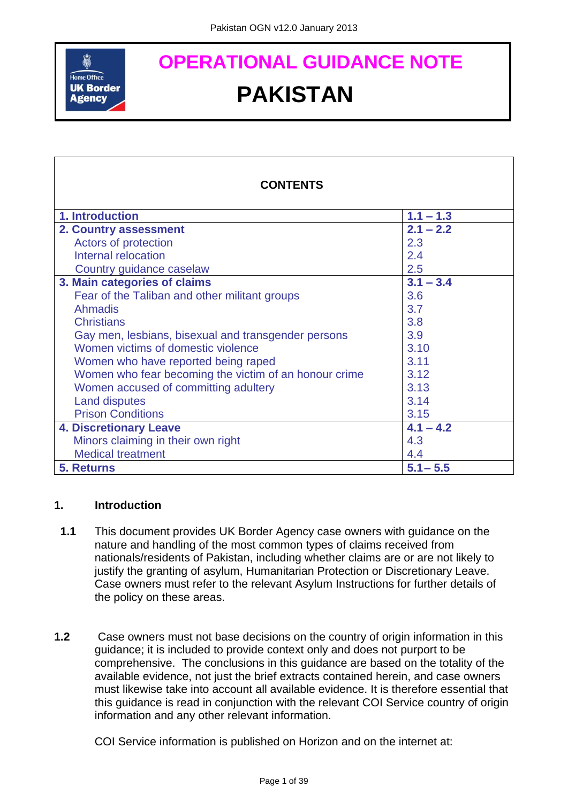

# **OPERATIONAL GUIDANCE NOTE PAKISTAN**

| <b>CONTENTS</b>                                       |             |
|-------------------------------------------------------|-------------|
| 1. Introduction                                       | $1.1 - 1.3$ |
| 2. Country assessment                                 | $2.1 - 2.2$ |
| Actors of protection                                  | 2.3         |
| Internal relocation                                   | 2.4         |
| Country guidance caselaw                              | 2.5         |
| 3. Main categories of claims                          | $3.1 - 3.4$ |
| Fear of the Taliban and other militant groups         | 3.6         |
| <b>Ahmadis</b>                                        | 3.7         |
| <b>Christians</b>                                     | 3.8         |
| Gay men, lesbians, bisexual and transgender persons   | 3.9         |
| Women victims of domestic violence                    | 3.10        |
| Women who have reported being raped                   | 3.11        |
| Women who fear becoming the victim of an honour crime | 3.12        |
| Women accused of committing adultery                  | 3.13        |
| <b>Land disputes</b>                                  | 3.14        |
| <b>Prison Conditions</b>                              | 3.15        |
| <b>4. Discretionary Leave</b>                         | $4.1 - 4.2$ |
| Minors claiming in their own right                    | 4.3         |
| <b>Medical treatment</b>                              | 4.4         |
| <b>5. Returns</b>                                     | $5.1 - 5.5$ |

#### <span id="page-0-0"></span>**1. Introduction**

- **1.1** This document provides UK Border Agency case owners with guidance on the nature and handling of the most common types of claims received from nationals/residents of Pakistan, including whether claims are or are not likely to justify the granting of asylum, Humanitarian Protection or Discretionary Leave. Case owners must refer to the relevant Asylum Instructions for further details of the policy on these areas.
- **1.2** Case owners must not base decisions on the country of origin information in this guidance; it is included to provide context only and does not purport to be comprehensive. The conclusions in this guidance are based on the totality of the available evidence, not just the brief extracts contained herein, and case owners must likewise take into account all available evidence. It is therefore essential that this guidance is read in conjunction with the relevant COI Service country of origin information and any other relevant information.

COI Service information is published on Horizon and on the internet at: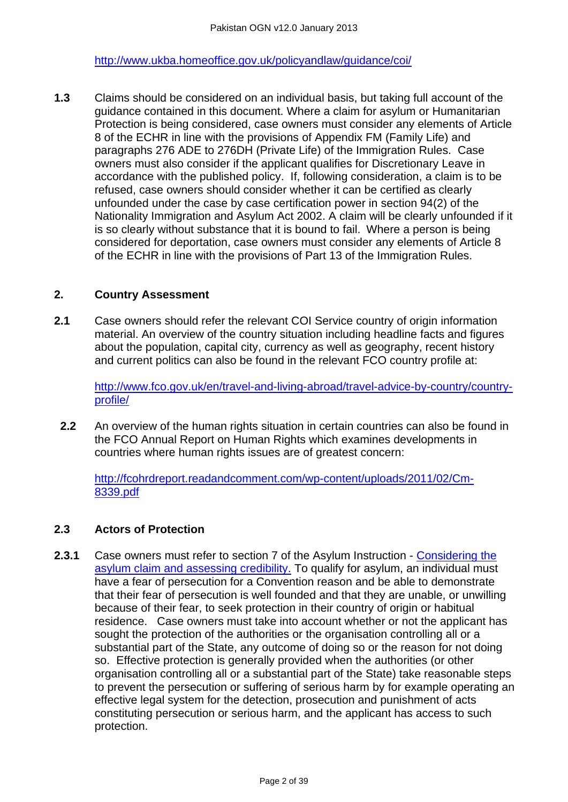<http://www.ukba.homeoffice.gov.uk/policyandlaw/guidance/coi/>

**1.3** Claims should be considered on an individual basis, but taking full account of the guidance contained in this document. Where a claim for asylum or Humanitarian Protection is being considered, case owners must consider any elements of Article 8 of the ECHR in line with the provisions of Appendix FM (Family Life) and paragraphs 276 ADE to 276DH (Private Life) of the Immigration Rules. Case owners must also consider if the applicant qualifies for Discretionary Leave in accordance with the published policy. If, following consideration, a claim is to be refused, case owners should consider whether it can be certified as clearly unfounded under the case by case certification power in section 94(2) of the Nationality Immigration and Asylum Act 2002. A claim will be clearly unfounded if it is so clearly without substance that it is bound to fail. Where a person is being considered for deportation, case owners must consider any elements of Article 8 of the ECHR in line with the provisions of Part 13 of the Immigration Rules.

#### <span id="page-1-0"></span>**2. Country Assessment**

**2.1** Case owners should refer the relevant COI Service country of origin information material. An overview of the country situation including headline facts and figures about the population, capital city, currency as well as geography, recent history and current politics can also be found in the relevant FCO country profile at:

[http://www.fco.gov.uk/en/travel-and-living-abroad/travel-advice-by-country/country](http://www.fco.gov.uk/en/travel-and-living-abroad/travel-advice-by-country/country-profile/)[profile/](http://www.fco.gov.uk/en/travel-and-living-abroad/travel-advice-by-country/country-profile/)

**2.2** An overview of the human rights situation in certain countries can also be found in the FCO Annual Report on Human Rights which examines developments in countries where human rights issues are of greatest concern:

[http://fcohrdreport.readandcomment.com/wp-content/uploads/2011/02/Cm-](http://fcohrdreport.readandcomment.com/wp-content/uploads/2011/02/Cm-8339.pdf)[8339.pdf](http://fcohrdreport.readandcomment.com/wp-content/uploads/2011/02/Cm-8339.pdf)

#### <span id="page-1-1"></span>**2.3 Actors of Protection**

**2.3.1** Case owners must refer to section 7 of the Asylum Instruction - [Considering the](http://www.ukba.homeoffice.gov.uk/sitecontent/documents/policyandlaw/asylumprocessguidance/consideringanddecidingtheclaim/guidance/considering-protection-.pdf?view=Binary)  [asylum claim and assessing credibility.](http://www.ukba.homeoffice.gov.uk/sitecontent/documents/policyandlaw/asylumprocessguidance/consideringanddecidingtheclaim/guidance/considering-protection-.pdf?view=Binary) To qualify for asylum, an individual must have a fear of persecution for a Convention reason and be able to demonstrate that their fear of persecution is well founded and that they are unable, or unwilling because of their fear, to seek protection in their country of origin or habitual residence. Case owners must take into account whether or not the applicant has sought the protection of the authorities or the organisation controlling all or a substantial part of the State, any outcome of doing so or the reason for not doing so. Effective protection is generally provided when the authorities (or other organisation controlling all or a substantial part of the State) take reasonable steps to prevent the persecution or suffering of serious harm by for example operating an effective legal system for the detection, prosecution and punishment of acts constituting persecution or serious harm, and the applicant has access to such protection.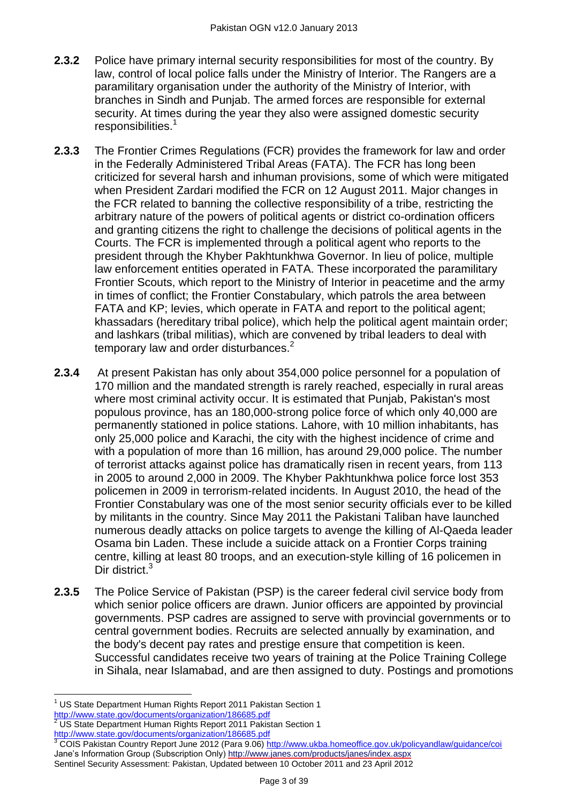- **2.3.2** Police have primary internal security responsibilities for most of the country. By law, control of local police falls under the Ministry of Interior. The Rangers are a paramilitary organisation under the authority of the Ministry of Interior, with branches in Sindh and Punjab. The armed forces are responsible for external security. At times during the year they also were assigned domestic security responsibilities.<sup>1</sup>
- **2.3.3** The Frontier Crimes Regulations (FCR) provides the framework for law and order in the Federally Administered Tribal Areas (FATA). The FCR has long been criticized for several harsh and inhuman provisions, some of which were mitigated when President Zardari modified the FCR on 12 August 2011. Major changes in the FCR related to banning the collective responsibility of a tribe, restricting the arbitrary nature of the powers of political agents or district co-ordination officers and granting citizens the right to challenge the decisions of political agents in the Courts. The FCR is implemented through a political agent who reports to the president through the Khyber Pakhtunkhwa Governor. In lieu of police, multiple law enforcement entities operated in FATA. These incorporated the paramilitary Frontier Scouts, which report to the Ministry of Interior in peacetime and the army in times of conflict; the Frontier Constabulary, which patrols the area between FATA and KP; levies, which operate in FATA and report to the political agent; khassadars (hereditary tribal police), which help the political agent maintain order; and lashkars (tribal militias), which are convened by tribal leaders to deal with temporary law and order disturbances.<sup>2</sup>
- **2.3.4** At present Pakistan has only about 354,000 police personnel for a population of 170 million and the mandated strength is rarely reached, especially in rural areas where most criminal activity occur. It is estimated that Punjab, Pakistan's most populous province, has an 180,000-strong police force of which only 40,000 are permanently stationed in police stations. Lahore, with 10 million inhabitants, has only 25,000 police and Karachi, the city with the highest incidence of crime and with a population of more than 16 million, has around 29,000 police. The number of terrorist attacks against police has dramatically risen in recent years, from 113 in 2005 to around 2,000 in 2009. The Khyber Pakhtunkhwa police force lost 353 policemen in 2009 in terrorism-related incidents. In August 2010, the head of the Frontier Constabulary was one of the most senior security officials ever to be killed by militants in the country. Since May 2011 the Pakistani Taliban have launched numerous deadly attacks on police targets to avenge the killing of Al-Qaeda leader Osama bin Laden. These include a suicide attack on a Frontier Corps training centre, killing at least 80 troops, and an execution-style killing of 16 policemen in Dir district<sup>3</sup>
- **2.3.5** The Police Service of Pakistan (PSP) is the career federal civil service body from which senior police officers are drawn. Junior officers are appointed by provincial governments. PSP cadres are assigned to serve with provincial governments or to central government bodies. Recruits are selected annually by examination, and the body's decent pay rates and prestige ensure that competition is keen. Successful candidates receive two years of training at the Police Training College in Sihala, near Islamabad, and are then assigned to duty. Postings and promotions

 $\overline{a}$ <sup>1</sup> US State Department Human Rights Report 2011 Pakistan Section 1 <http://www.state.gov/documents/organization/186685.pdf>

<sup>2</sup> US State Department Human Rights Report 2011 Pakistan Section 1 <http://www.state.gov/documents/organization/186685.pdf>

<sup>&</sup>lt;sup>3</sup> COIS Pakistan Country Report June 2012 (Para 9.06[\) http://www.ukba.homeoffice.gov.uk/policyandlaw/guidance/coi](http://www.ukba.homeoffice.gov.uk/policyandlaw/guidance/coi) Jane's Information Group (Subscription Only) <http://www.janes.com/products/janes/index.aspx> Sentinel Security Assessment: Pakistan, Updated between 10 October 2011 and 23 April 2012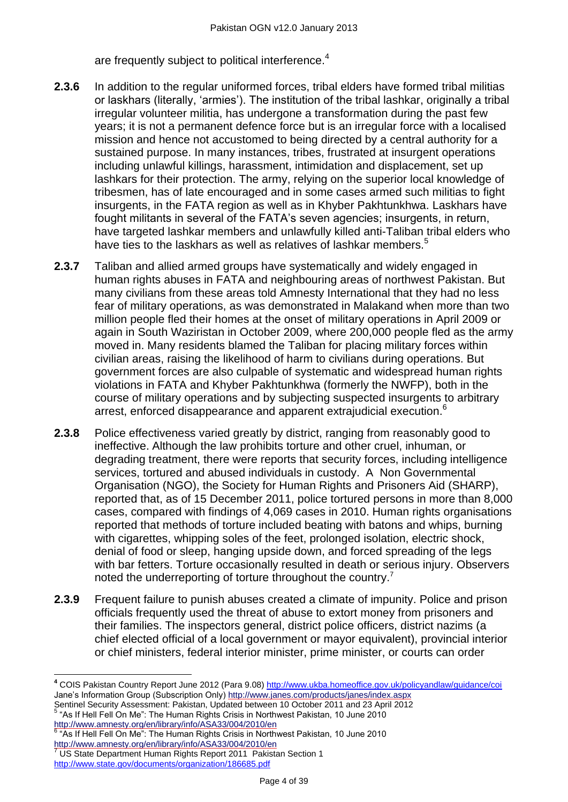are frequently subject to political interference.<sup>4</sup>

- **2.3.6** In addition to the regular uniformed forces, tribal elders have formed tribal militias or laskhars (literally, 'armies'). The institution of the tribal lashkar, originally a tribal irregular volunteer militia, has undergone a transformation during the past few years; it is not a permanent defence force but is an irregular force with a localised mission and hence not accustomed to being directed by a central authority for a sustained purpose. In many instances, tribes, frustrated at insurgent operations including unlawful killings, harassment, intimidation and displacement, set up lashkars for their protection. The army, relying on the superior local knowledge of tribesmen, has of late encouraged and in some cases armed such militias to fight insurgents, in the FATA region as well as in Khyber Pakhtunkhwa. Laskhars have fought militants in several of the FATA's seven agencies; insurgents, in return, have targeted lashkar members and unlawfully killed anti-Taliban tribal elders who have ties to the laskhars as well as relatives of lashkar members.<sup>5</sup>
- **2.3.7** Taliban and allied armed groups have systematically and widely engaged in human rights abuses in FATA and neighbouring areas of northwest Pakistan. But many civilians from these areas told Amnesty International that they had no less fear of military operations, as was demonstrated in Malakand when more than two million people fled their homes at the onset of military operations in April 2009 or again in South Waziristan in October 2009, where 200,000 people fled as the army moved in. Many residents blamed the Taliban for placing military forces within civilian areas, raising the likelihood of harm to civilians during operations. But government forces are also culpable of systematic and widespread human rights violations in FATA and Khyber Pakhtunkhwa (formerly the NWFP), both in the course of military operations and by subjecting suspected insurgents to arbitrary arrest, enforced disappearance and apparent extrajudicial execution.<sup>6</sup>
- **2.3.8** Police effectiveness varied greatly by district, ranging from reasonably good to ineffective. Although the law prohibits torture and other cruel, inhuman, or degrading treatment, there were reports that security forces, including intelligence services, tortured and abused individuals in custody. A Non Governmental Organisation (NGO), the Society for Human Rights and Prisoners Aid (SHARP), reported that, as of 15 December 2011, police tortured persons in more than 8,000 cases, compared with findings of 4,069 cases in 2010. Human rights organisations reported that methods of torture included beating with batons and whips, burning with cigarettes, whipping soles of the feet, prolonged isolation, electric shock, denial of food or sleep, hanging upside down, and forced spreading of the legs with bar fetters. Torture occasionally resulted in death or serious injury. Observers noted the underreporting of torture throughout the country.<sup>7</sup>
- **2.3.9** Frequent failure to punish abuses created a climate of impunity. Police and prison officials frequently used the threat of abuse to extort money from prisoners and their families. The inspectors general, district police officers, district nazims (a chief elected official of a local government or mayor equivalent), provincial interior or chief ministers, federal interior minister, prime minister, or courts can order

Sentinel Security Assessment: Pakistan, Updated between 10 October 2011 and 23 April 2012<br><sup>5</sup> "As If Hell Fell On Me": The Human Rights Crisis in Northwest Pakistan, 10 June 2010

<http://www.amnesty.org/en/library/info/ASA33/004/2010/en> 6 As If Hell Fell On Me": The Human Rights Crisis in Northwest Pakistan, 10 June 2010 <http://www.amnesty.org/en/library/info/ASA33/004/2010/en>

 $\overline{a}$ **<sup>4</sup>** COIS Pakistan Country Report June 2012 (Para 9.08[\) http://www.ukba.homeoffice.gov.uk/policyandlaw/guidance/coi](http://www.ukba.homeoffice.gov.uk/policyandlaw/guidance/coi) Jane's Information Group (Subscription Only) <http://www.janes.com/products/janes/index.aspx>

US State Department Human Rights Report 2011 Pakistan Section 1 <http://www.state.gov/documents/organization/186685.pdf>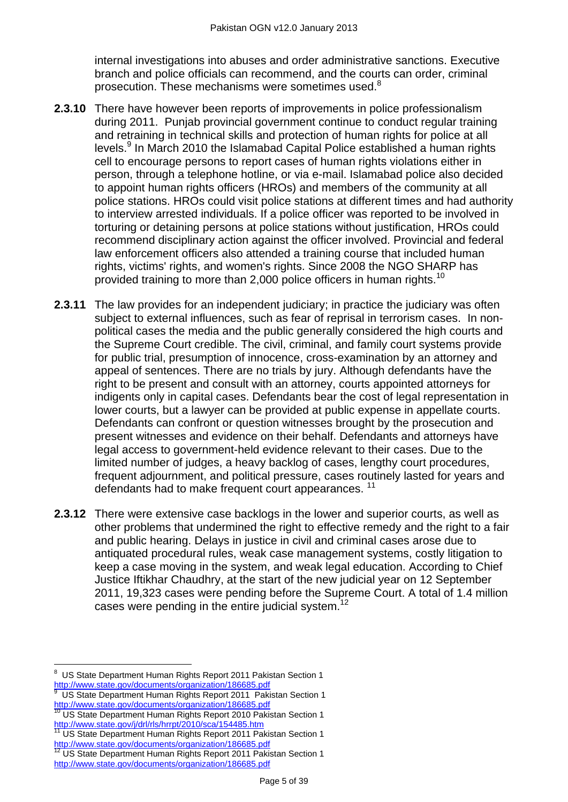internal investigations into abuses and order administrative sanctions. Executive branch and police officials can recommend, and the courts can order, criminal prosecution. These mechanisms were sometimes used.<sup>8</sup>

- **2.3.10** There have however been reports of improvements in police professionalism during 2011. Punjab provincial government continue to conduct regular training and retraining in technical skills and protection of human rights for police at all levels.<sup>9</sup> In March 2010 the Islamabad Capital Police established a human rights cell to encourage persons to report cases of human rights violations either in person, through a telephone hotline, or via e-mail. Islamabad police also decided to appoint human rights officers (HROs) and members of the community at all police stations. HROs could visit police stations at different times and had authority to interview arrested individuals. If a police officer was reported to be involved in torturing or detaining persons at police stations without justification, HROs could recommend disciplinary action against the officer involved. Provincial and federal law enforcement officers also attended a training course that included human rights, victims' rights, and women's rights. Since 2008 the NGO SHARP has provided training to more than 2,000 police officers in human rights.<sup>10</sup>
- **2.3.11** The law provides for an independent judiciary; in practice the judiciary was often subject to external influences, such as fear of reprisal in terrorism cases. In nonpolitical cases the media and the public generally considered the high courts and the Supreme Court credible. The civil, criminal, and family court systems provide for public trial, presumption of innocence, cross-examination by an attorney and appeal of sentences. There are no trials by jury. Although defendants have the right to be present and consult with an attorney, courts appointed attorneys for indigents only in capital cases. Defendants bear the cost of legal representation in lower courts, but a lawyer can be provided at public expense in appellate courts. Defendants can confront or question witnesses brought by the prosecution and present witnesses and evidence on their behalf. Defendants and attorneys have legal access to government-held evidence relevant to their cases. Due to the limited number of judges, a heavy backlog of cases, lengthy court procedures, frequent adjournment, and political pressure, cases routinely lasted for years and defendants had to make frequent court appearances.<sup>11</sup>
- **2.3.12** There were extensive case backlogs in the lower and superior courts, as well as other problems that undermined the right to effective remedy and the right to a fair and public hearing. Delays in justice in civil and criminal cases arose due to antiquated procedural rules, weak case management systems, costly litigation to keep a case moving in the system, and weak legal education. According to Chief Justice Iftikhar Chaudhry, at the start of the new judicial year on 12 September 2011, 19,323 cases were pending before the Supreme Court. A total of 1.4 million cases were pending in the entire judicial system.<sup>12</sup>

 $\overline{a}$ 8 US State Department Human Rights Report 2011 Pakistan Section 1 <http://www.state.gov/documents/organization/186685.pdf>

<sup>9</sup> US State Department Human Rights Report 2011 Pakistan Section 1 <http://www.state.gov/documents/organization/186685.pdf>

<sup>&</sup>lt;sup>10</sup> US State Department Human Rights Report 2010 Pakistan Section 1 <http://www.state.gov/j/drl/rls/hrrpt/2010/sca/154485.htm>

US State Department Human Rights Report 2011 Pakistan Section 1 Let Julie Department Francisco Rights Report 2011 Pakis<br><http://www.state.gov/documents/organization/186685.pdf><br> $\frac{12}{12}$  JIS State Departments

<sup>12</sup> US State Department Human Rights Report 2011 Pakistan Section 1 <http://www.state.gov/documents/organization/186685.pdf>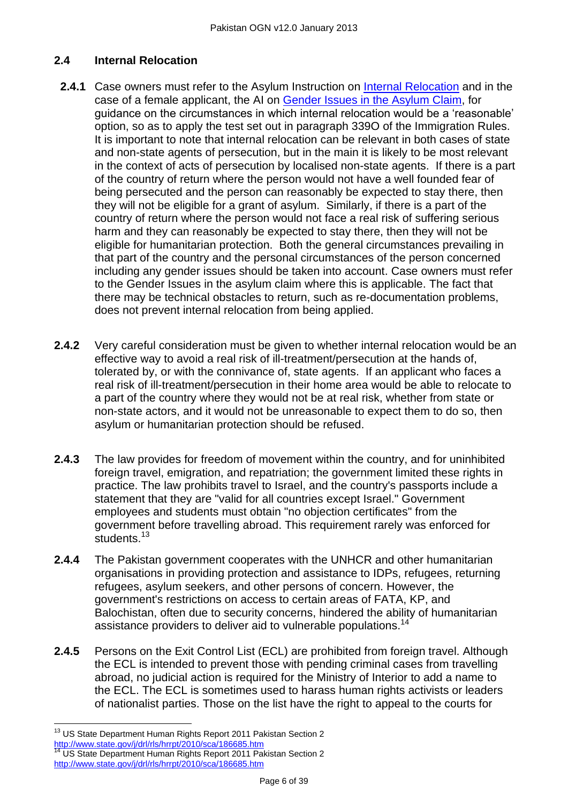# <span id="page-5-0"></span>**2.4 Internal Relocation**

- **2.4.1** Case owners must refer to the Asylum Instruction on [Internal Relocation](http://www.ukba.homeoffice.gov.uk/sitecontent/documents/policyandlaw/asylumpolicyinstructions/apis/internalrelocation.pdf?view=Binary) and in the case of a female applicant, the AI on [Gender Issues in the Asylum Claim,](http://www.ukba.homeoffice.gov.uk/sitecontent/documents/policyandlaw/asylumpolicyinstructions/apis/gender-issue-in-the-asylum.pdf?view=Binary) for quidance on the circumstances in which internal relocation would be a 'reasonable' option, so as to apply the test set out in paragraph 339O of the Immigration Rules. It is important to note that internal relocation can be relevant in both cases of state and non-state agents of persecution, but in the main it is likely to be most relevant in the context of acts of persecution by localised non-state agents. If there is a part of the country of return where the person would not have a well founded fear of being persecuted and the person can reasonably be expected to stay there, then they will not be eligible for a grant of asylum. Similarly, if there is a part of the country of return where the person would not face a real risk of suffering serious harm and they can reasonably be expected to stay there, then they will not be eligible for humanitarian protection. Both the general circumstances prevailing in that part of the country and the personal circumstances of the person concerned including any gender issues should be taken into account. Case owners must refer to the Gender Issues in the asylum claim where this is applicable. The fact that there may be technical obstacles to return, such as re-documentation problems, does not prevent internal relocation from being applied.
- **2.4.2** Very careful consideration must be given to whether internal relocation would be an effective way to avoid a real risk of ill-treatment/persecution at the hands of, tolerated by, or with the connivance of, state agents. If an applicant who faces a real risk of ill-treatment/persecution in their home area would be able to relocate to a part of the country where they would not be at real risk, whether from state or non-state actors, and it would not be unreasonable to expect them to do so, then asylum or humanitarian protection should be refused.
- **2.4.3** The law provides for freedom of movement within the country, and for uninhibited foreign travel, emigration, and repatriation; the government limited these rights in practice. The law prohibits travel to Israel, and the country's passports include a statement that they are "valid for all countries except Israel." Government employees and students must obtain "no objection certificates" from the government before travelling abroad. This requirement rarely was enforced for students.<sup>13</sup>
- **2.4.4** The Pakistan government cooperates with the UNHCR and other humanitarian organisations in providing protection and assistance to IDPs, refugees, returning refugees, asylum seekers, and other persons of concern. However, the government's restrictions on access to certain areas of FATA, KP, and Balochistan, often due to security concerns, hindered the ability of humanitarian assistance providers to deliver aid to vulnerable populations.<sup>14</sup>
- **2.4.5** Persons on the Exit Control List (ECL) are prohibited from foreign travel. Although the ECL is intended to prevent those with pending criminal cases from travelling abroad, no judicial action is required for the Ministry of Interior to add a name to the ECL. The ECL is sometimes used to harass human rights activists or leaders of nationalist parties. Those on the list have the right to appeal to the courts for

 $\overline{a}$  $13$  US State Department Human Rights Report 2011 Pakistan Section 2 Let Julie Department Fighter Rights Report 2011 Pal<br><http://www.state.gov/j/drl/rls/hrrpt/2010/sca/186685.htm> US State Department Human Rights Report 2011 Pakistan Section 2 <http://www.state.gov/j/drl/rls/hrrpt/2010/sca/186685.htm>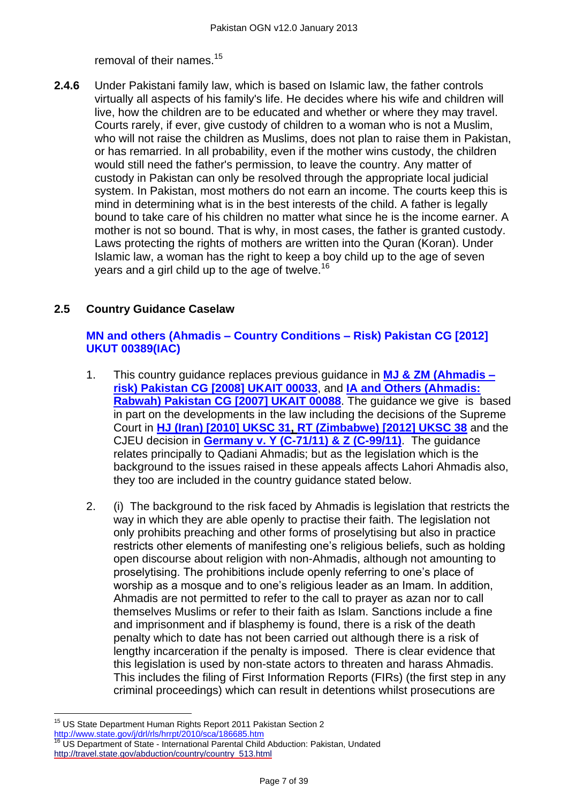removal of their names.<sup>15</sup>

**2.4.6** Under Pakistani family law, which is based on Islamic law, the father controls virtually all aspects of his family's life. He decides where his wife and children will live, how the children are to be educated and whether or where they may travel. Courts rarely, if ever, give custody of children to a woman who is not a Muslim, who will not raise the children as Muslims, does not plan to raise them in Pakistan, or has remarried. In all probability, even if the mother wins custody, the children would still need the father's permission, to leave the country. Any matter of custody in Pakistan can only be resolved through the appropriate local judicial system. In Pakistan, most mothers do not earn an income. The courts keep this is mind in determining what is in the best interests of the child. A father is legally bound to take care of his children no matter what since he is the income earner. A mother is not so bound. That is why, in most cases, the father is granted custody. Laws protecting the rights of mothers are written into the Quran (Koran). Under Islamic law, a woman has the right to keep a boy child up to the age of seven years and a girl child up to the age of twelve.<sup>16</sup>

# <span id="page-6-0"></span>**2.5 Country Guidance Caselaw**

# **[MN and others \(Ahmadis –](http://www.bailii.org/uk/cases/UKUT/IAC/2012/00389_ukut_iac_2012_mn_ors_pakistan_cg.html) Country Conditions – Risk) Pakistan CG [2012] [UKUT 00389\(IAC\)](http://www.bailii.org/uk/cases/UKUT/IAC/2012/00389_ukut_iac_2012_mn_ors_pakistan_cg.html)**

- 1. This country guidance replaces previous guidance in **[MJ & ZM \(Ahmadis –](http://www.bailii.org/uk/cases/UKIAT/2008/00033.html) [risk\) Pakistan CG \[2008\] UKAIT 00033](http://www.bailii.org/uk/cases/UKIAT/2008/00033.html)**, and **[IA and Others \(Ahmadis:](http://www.bailii.org/cgi-bin/markup.cgi?doc=/uk/cases/UKIAT/2007/00088.html&query=ia&method=boolean)  [Rabwah\) Pakistan CG \[2007\] UKAIT 00088](http://www.bailii.org/cgi-bin/markup.cgi?doc=/uk/cases/UKIAT/2007/00088.html&query=ia&method=boolean)**. The guidance we give is based in part on the developments in the law including the decisions of the Supreme Court in **[HJ \(Iran\) \[2010\] UKSC 31,](http://www.bailii.org/cgi-bin/markup.cgi?doc=/uk/cases/UKSC/2010/31.html&query=hj&method=boolean) [RT \(Zimbabwe\) \[2012\] UKSC 38](http://www.bailii.org/uk/cases/UKSC/2012/38.html)** and the CJEU decision in **[Germany v. Y \(C-71/11\) & Z \(C-99/11\)](http://www.bailii.org/eu/cases/EUECJ/2012/C7111.html)**. The guidance relates principally to Qadiani Ahmadis; but as the legislation which is the background to the issues raised in these appeals affects Lahori Ahmadis also, they too are included in the country guidance stated below.
- 2. (i) The background to the risk faced by Ahmadis is legislation that restricts the way in which they are able openly to practise their faith. The legislation not only prohibits preaching and other forms of proselytising but also in practice restricts other elements of manifesting one's religious beliefs, such as holding open discourse about religion with non-Ahmadis, although not amounting to proselytising. The prohibitions include openly referring to one's place of worship as a mosque and to one's religious leader as an Imam. In addition, Ahmadis are not permitted to refer to the call to prayer as azan nor to call themselves Muslims or refer to their faith as Islam. Sanctions include a fine and imprisonment and if blasphemy is found, there is a risk of the death penalty which to date has not been carried out although there is a risk of lengthy incarceration if the penalty is imposed. There is clear evidence that this legislation is used by non-state actors to threaten and harass Ahmadis. This includes the filing of First Information Reports (FIRs) (the first step in any criminal proceedings) which can result in detentions whilst prosecutions are

 $\overline{a}$ <sup>15</sup> US State Department Human Rights Report 2011 Pakistan Section 2 <http://www.state.gov/j/drl/rls/hrrpt/2010/sca/186685.htm><br><sup>16</sup> LIS Department of State. International Department Of JL

<sup>16</sup> US Department of State - International Parental Child Abduction: Pakistan, Undated [http://travel.state.gov/abduction/country/country\\_513.html](http://travel.state.gov/abduction/country/country_513.html)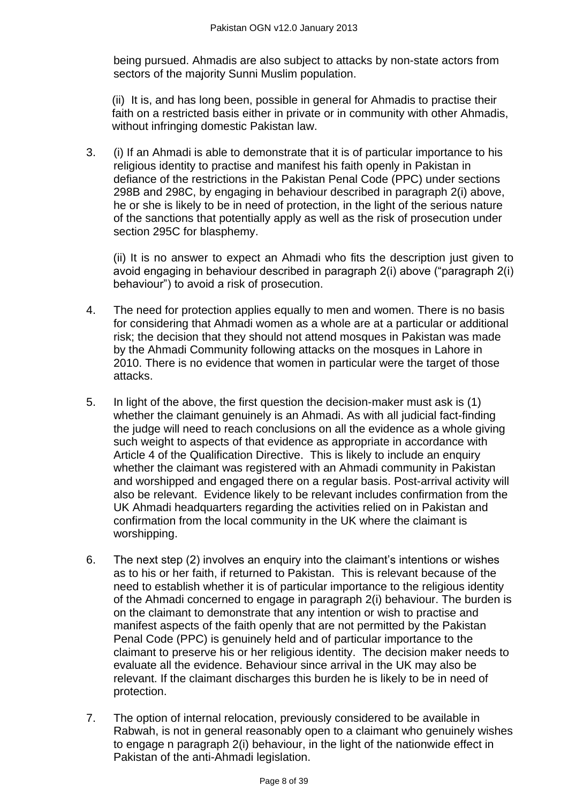being pursued. Ahmadis are also subject to attacks by non-state actors from sectors of the majority Sunni Muslim population.

(ii) It is, and has long been, possible in general for Ahmadis to practise their faith on a restricted basis either in private or in community with other Ahmadis, without infringing domestic Pakistan law.

3. (i) If an Ahmadi is able to demonstrate that it is of particular importance to his religious identity to practise and manifest his faith openly in Pakistan in defiance of the restrictions in the Pakistan Penal Code (PPC) under sections 298B and 298C, by engaging in behaviour described in paragraph 2(i) above, he or she is likely to be in need of protection, in the light of the serious nature of the sanctions that potentially apply as well as the risk of prosecution under section 295C for blasphemy.

(ii) It is no answer to expect an Ahmadi who fits the description just given to avoid engaging in behaviour described in paragraph 2(i) above ("paragraph 2(i) behaviour") to avoid a risk of prosecution.

- 4. The need for protection applies equally to men and women. There is no basis for considering that Ahmadi women as a whole are at a particular or additional risk; the decision that they should not attend mosques in Pakistan was made by the Ahmadi Community following attacks on the mosques in Lahore in 2010. There is no evidence that women in particular were the target of those attacks.
- 5. In light of the above, the first question the decision-maker must ask is (1) whether the claimant genuinely is an Ahmadi. As with all judicial fact-finding the judge will need to reach conclusions on all the evidence as a whole giving such weight to aspects of that evidence as appropriate in accordance with Article 4 of the Qualification Directive. This is likely to include an enquiry whether the claimant was registered with an Ahmadi community in Pakistan and worshipped and engaged there on a regular basis. Post-arrival activity will also be relevant. Evidence likely to be relevant includes confirmation from the UK Ahmadi headquarters regarding the activities relied on in Pakistan and confirmation from the local community in the UK where the claimant is worshipping.
- 6. The next step (2) involves an enquiry into the claimant's intentions or wishes as to his or her faith, if returned to Pakistan. This is relevant because of the need to establish whether it is of particular importance to the religious identity of the Ahmadi concerned to engage in paragraph 2(i) behaviour. The burden is on the claimant to demonstrate that any intention or wish to practise and manifest aspects of the faith openly that are not permitted by the Pakistan Penal Code (PPC) is genuinely held and of particular importance to the claimant to preserve his or her religious identity. The decision maker needs to evaluate all the evidence. Behaviour since arrival in the UK may also be relevant. If the claimant discharges this burden he is likely to be in need of protection.
- 7. The option of internal relocation, previously considered to be available in Rabwah, is not in general reasonably open to a claimant who genuinely wishes to engage n paragraph 2(i) behaviour, in the light of the nationwide effect in Pakistan of the anti-Ahmadi legislation.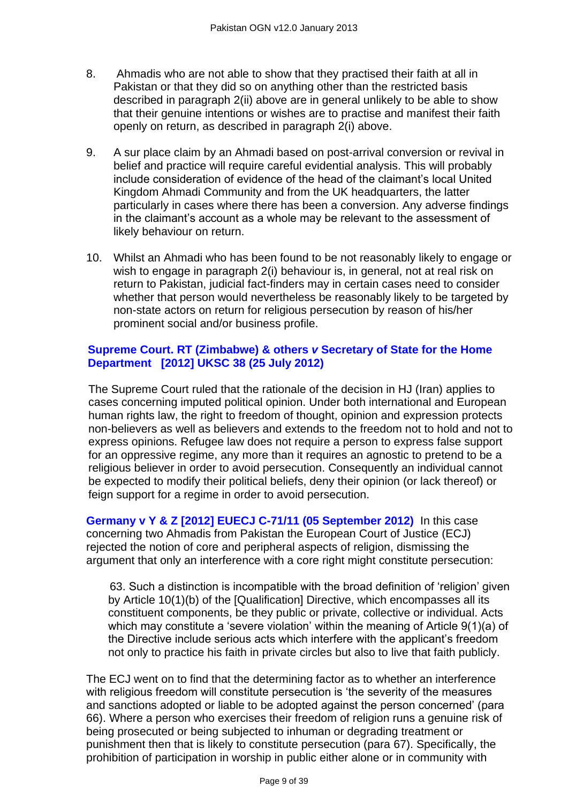- 8. Ahmadis who are not able to show that they practised their faith at all in Pakistan or that they did so on anything other than the restricted basis described in paragraph 2(ii) above are in general unlikely to be able to show that their genuine intentions or wishes are to practise and manifest their faith openly on return, as described in paragraph 2(i) above.
- 9. A sur place claim by an Ahmadi based on post-arrival conversion or revival in belief and practice will require careful evidential analysis. This will probably include consideration of evidence of the head of the claimant's local United Kingdom Ahmadi Community and from the UK headquarters, the latter particularly in cases where there has been a conversion. Any adverse findings in the claimant's account as a whole may be relevant to the assessment of likely behaviour on return.
- 10. Whilst an Ahmadi who has been found to be not reasonably likely to engage or wish to engage in paragraph 2(i) behaviour is, in general, not at real risk on return to Pakistan, judicial fact-finders may in certain cases need to consider whether that person would nevertheless be reasonably likely to be targeted by non-state actors on return for religious persecution by reason of his/her prominent social and/or business profile.

# **[Supreme Court. RT \(Zimbabwe\) & others](http://www.supremecourt.gov.uk/docs/UKSC_2011_0011_Judgment.pdf)** *v* **Secretary of State for the Home [Department \[2012\] UKSC 38 \(25 July 2012\)](http://www.supremecourt.gov.uk/docs/UKSC_2011_0011_Judgment.pdf)**

The Supreme Court ruled that the rationale of the decision in HJ (Iran) applies to cases concerning imputed political opinion. Under both international and European human rights law, the right to freedom of thought, opinion and expression protects non-believers as well as believers and extends to the freedom not to hold and not to express opinions. Refugee law does not require a person to express false support for an oppressive regime, any more than it requires an agnostic to pretend to be a religious believer in order to avoid persecution. Consequently an individual cannot be expected to modify their political beliefs, deny their opinion (or lack thereof) or feign support for a regime in order to avoid persecution.

**[Germany v Y & Z \[2012\] EUECJ C-71/11 \(05 September 2012\)](http://www.bailii.org/eu/cases/EUECJ/2012/C7111.html)** In this case concerning two Ahmadis from Pakistan the European Court of Justice (ECJ) rejected the notion of core and peripheral aspects of religion, dismissing the argument that only an interference with a core right might constitute persecution:

63. Such a distinction is incompatible with the broad definition of 'religion' given by Article 10(1)(b) of the [Qualification] Directive, which encompasses all its constituent components, be they public or private, collective or individual. Acts which may constitute a 'severe violation' within the meaning of Article  $9(1)(a)$  of the Directive include serious acts which interfere with the applicant's freedom not only to practice his faith in private circles but also to live that faith publicly.

The ECJ went on to find that the determining factor as to whether an interference with religious freedom will constitute persecution is 'the severity of the measures and sanctions adopted or liable to be adopted against the person concerned' (para 66). Where a person who exercises their freedom of religion runs a genuine risk of being prosecuted or being subjected to inhuman or degrading treatment or punishment then that is likely to constitute persecution (para 67). Specifically, the prohibition of participation in worship in public either alone or in community with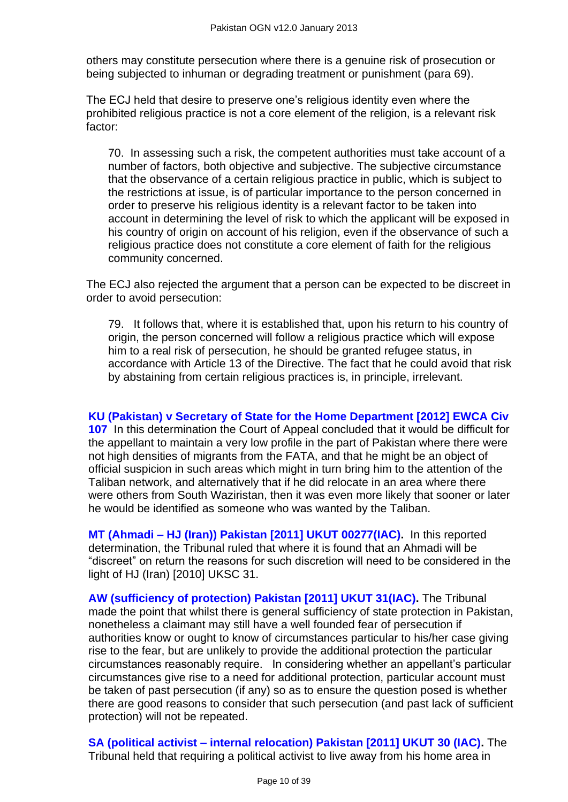others may constitute persecution where there is a genuine risk of prosecution or being subjected to inhuman or degrading treatment or punishment (para 69).

The ECJ held that desire to preserve one's religious identity even where the prohibited religious practice is not a core element of the religion, is a relevant risk factor:

70. In assessing such a risk, the competent authorities must take account of a number of factors, both objective and subjective. The subjective circumstance that the observance of a certain religious practice in public, which is subject to the restrictions at issue, is of particular importance to the person concerned in order to preserve his religious identity is a relevant factor to be taken into account in determining the level of risk to which the applicant will be exposed in his country of origin on account of his religion, even if the observance of such a religious practice does not constitute a core element of faith for the religious community concerned.

The ECJ also rejected the argument that a person can be expected to be discreet in order to avoid persecution:

79. It follows that, where it is established that, upon his return to his country of origin, the person concerned will follow a religious practice which will expose him to a real risk of persecution, he should be granted refugee status, in accordance with Article 13 of the Directive. The fact that he could avoid that risk by abstaining from certain religious practices is, in principle, irrelevant.

**KU (Pakistan) v Secretary of State for the Home [Department \[2012\] EWCA Civ](http://www.bailii.org/ew/cases/EWCA/Civ/2012/107.html)** 

**[107](http://www.bailii.org/ew/cases/EWCA/Civ/2012/107.html)** In this determination the Court of Appeal concluded that it would be difficult for the appellant to maintain a very low profile in the part of Pakistan where there were not high densities of migrants from the FATA, and that he might be an object of official suspicion in such areas which might in turn bring him to the attention of the Taliban network, and alternatively that if he did relocate in an area where there were others from South Waziristan, then it was even more likely that sooner or later he would be identified as someone who was wanted by the Taliban.

**MT (Ahmadi – [HJ \(Iran\)\) Pakistan \[2011\] UKUT 00277\(IAC\).](http://www.bailii.org/uk/cases/UKUT/IAC/2011/00277_ukut_iac_2011_mt_pakistan.html)** In this reported determination, the Tribunal ruled that where it is found that an Ahmadi will be ―discreet‖ on return the reasons for such discretion will need to be considered in the light of HJ (Iran) [2010] UKSC 31.

**[AW \(sufficiency of protection\) Pakistan \[2011\] UKUT 31\(IAC\).](http://www.bailii.org/uk/cases/UKUT/IAC/2011/00031_ukut_iac_2011_aw_pakistan.html)** The Tribunal made the point that whilst there is general sufficiency of state protection in Pakistan, nonetheless a claimant may still have a well founded fear of persecution if authorities know or ought to know of circumstances particular to his/her case giving rise to the fear, but are unlikely to provide the additional protection the particular circumstances reasonably require. In considering whether an appellant's particular circumstances give rise to a need for additional protection, particular account must be taken of past persecution (if any) so as to ensure the question posed is whether there are good reasons to consider that such persecution (and past lack of sufficient protection) will not be repeated.

**SA (political activist – [internal relocation\) Pakistan \[2011\] UKUT 30 \(IAC\).](http://www.bailii.org/cgi-bin/markup.cgi?doc=/uk/cases/UKUT/IAC/2011/00030_ukut_iac_2011_sa_pakistan.html&query=title+(+sa+)&method=boolean)** The Tribunal held that requiring a political activist to live away from his home area in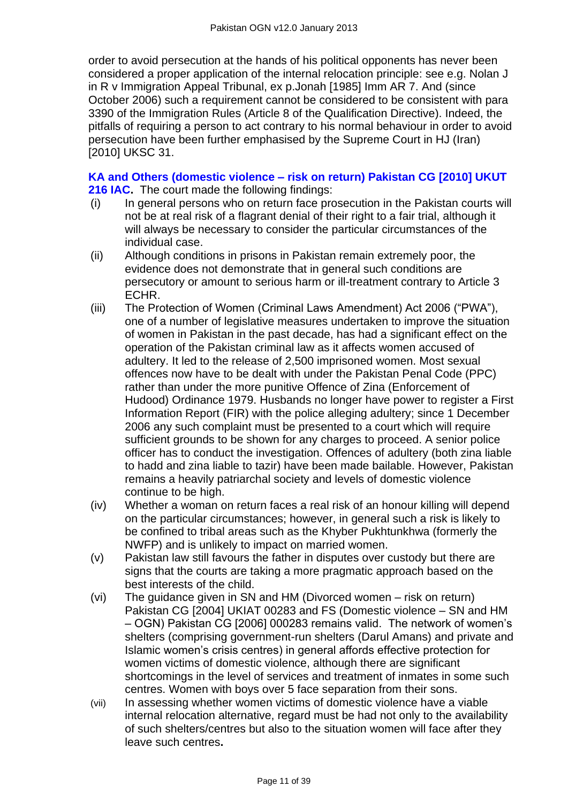order to avoid persecution at the hands of his political opponents has never been considered a proper application of the internal relocation principle: see e.g. Nolan J in R v Immigration Appeal Tribunal, ex p.Jonah [1985] Imm AR 7. And (since October 2006) such a requirement cannot be considered to be consistent with para 3390 of the Immigration Rules (Article 8 of the Qualification Directive). Indeed, the pitfalls of requiring a person to act contrary to his normal behaviour in order to avoid persecution have been further emphasised by the Supreme Court in HJ (Iran) [2010] UKSC 31.

# **KA and Others (domestic violence – [risk on return\) Pakistan CG \[2010\] UKUT](http://www.bailii.org/cgi-bin/markup.cgi?doc=/uk/cases/UKUT/IAC/2010/00216_ukut_iac_2010_ka_others_pakistan_cg.html&query=title+(+ka+)&method=boolean)**

- **[216 IAC.](http://www.bailii.org/cgi-bin/markup.cgi?doc=/uk/cases/UKUT/IAC/2010/00216_ukut_iac_2010_ka_others_pakistan_cg.html&query=title+(+ka+)&method=boolean)** The court made the following findings:
- (i) In general persons who on return face prosecution in the Pakistan courts will not be at real risk of a flagrant denial of their right to a fair trial, although it will always be necessary to consider the particular circumstances of the individual case.
- (ii) Although conditions in prisons in Pakistan remain extremely poor, the evidence does not demonstrate that in general such conditions are persecutory or amount to serious harm or ill-treatment contrary to Article 3 ECHR.
- (iii) The Protection of Women (Criminal Laws Amendment) Act 2006 ("PWA"), one of a number of legislative measures undertaken to improve the situation of women in Pakistan in the past decade, has had a significant effect on the operation of the Pakistan criminal law as it affects women accused of adultery. It led to the release of 2,500 imprisoned women. Most sexual offences now have to be dealt with under the Pakistan Penal Code (PPC) rather than under the more punitive Offence of Zina (Enforcement of Hudood) Ordinance 1979. Husbands no longer have power to register a First Information Report (FIR) with the police alleging adultery; since 1 December 2006 any such complaint must be presented to a court which will require sufficient grounds to be shown for any charges to proceed. A senior police officer has to conduct the investigation. Offences of adultery (both zina liable to hadd and zina liable to tazir) have been made bailable. However, Pakistan remains a heavily patriarchal society and levels of domestic violence continue to be high.
- (iv) Whether a woman on return faces a real risk of an honour killing will depend on the particular circumstances; however, in general such a risk is likely to be confined to tribal areas such as the Khyber Pukhtunkhwa (formerly the NWFP) and is unlikely to impact on married women.
- (v) Pakistan law still favours the father in disputes over custody but there are signs that the courts are taking a more pragmatic approach based on the best interests of the child.
- (vi) The guidance given in SN and HM (Divorced women risk on return) Pakistan CG [2004] UKIAT 00283 and FS (Domestic violence – SN and HM – OGN) Pakistan CG [2006] 000283 remains valid. The network of women's shelters (comprising government-run shelters (Darul Amans) and private and Islamic women's crisis centres) in general affords effective protection for women victims of domestic violence, although there are significant shortcomings in the level of services and treatment of inmates in some such centres. Women with boys over 5 face separation from their sons.
- (vii) In assessing whether women victims of domestic violence have a viable internal relocation alternative, regard must be had not only to the availability of such shelters/centres but also to the situation women will face after they leave such centres**.**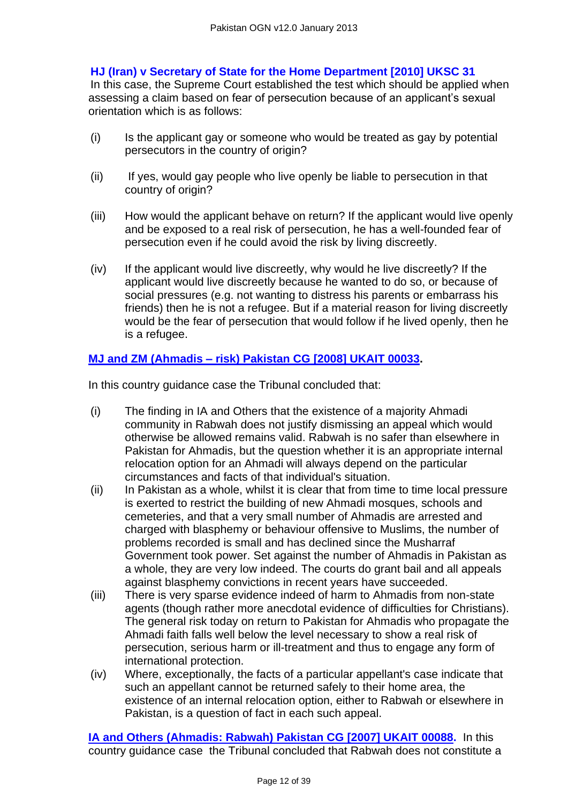# **[HJ \(Iran\) v Secretary of State for the Home Department \[2010\] UKSC 31](http://www.bailii.org/uk/cases/UKSC/2010/31.html)**

In this case, the Supreme Court established the test which should be applied when assessing a claim based on fear of persecution because of an applicant's sexual orientation which is as follows:

- (i) Is the applicant gay or someone who would be treated as gay by potential persecutors in the country of origin?
- (ii) If yes, would gay people who live openly be liable to persecution in that country of origin?
- (iii) How would the applicant behave on return? If the applicant would live openly and be exposed to a real risk of persecution, he has a well-founded fear of persecution even if he could avoid the risk by living discreetly.
- (iv) If the applicant would live discreetly, why would he live discreetly? If the applicant would live discreetly because he wanted to do so, or because of social pressures (e.g. not wanting to distress his parents or embarrass his friends) then he is not a refugee. But if a material reason for living discreetly would be the fear of persecution that would follow if he lived openly, then he is a refugee.

## **MJ and ZM (Ahmadis – [risk\) Pakistan CG \[2008\] UKAIT 00033.](http://www.bailii.org/cgi-bin/markup.cgi?doc=/uk/cases/UKIAT/2008/00033.html&query=mj&method=boolean)**

In this country guidance case the Tribunal concluded that:

- (i) The finding in IA and Others that the existence of a majority Ahmadi community in Rabwah does not justify dismissing an appeal which would otherwise be allowed remains valid. Rabwah is no safer than elsewhere in Pakistan for Ahmadis, but the question whether it is an appropriate internal relocation option for an Ahmadi will always depend on the particular circumstances and facts of that individual's situation.
- (ii) In Pakistan as a whole, whilst it is clear that from time to time local pressure is exerted to restrict the building of new Ahmadi mosques, schools and cemeteries, and that a very small number of Ahmadis are arrested and charged with blasphemy or behaviour offensive to Muslims, the number of problems recorded is small and has declined since the Musharraf Government took power. Set against the number of Ahmadis in Pakistan as a whole, they are very low indeed. The courts do grant bail and all appeals against blasphemy convictions in recent years have succeeded.
- (iii) There is very sparse evidence indeed of harm to Ahmadis from non-state agents (though rather more anecdotal evidence of difficulties for Christians). The general risk today on return to Pakistan for Ahmadis who propagate the Ahmadi faith falls well below the level necessary to show a real risk of persecution, serious harm or ill-treatment and thus to engage any form of international protection.
- (iv) Where, exceptionally, the facts of a particular appellant's case indicate that such an appellant cannot be returned safely to their home area, the existence of an internal relocation option, either to Rabwah or elsewhere in Pakistan, is a question of fact in each such appeal.

**[IA and Others \(Ahmadis: Rabwah\) Pakistan CG \[2007\] UKAIT 00088.](http://www.bailii.org/cgi-bin/markup.cgi?doc=/uk/cases/UKIAT/2007/00088.html&query=ia&method=boolean)** In this country guidance case the Tribunal concluded that Rabwah does not constitute a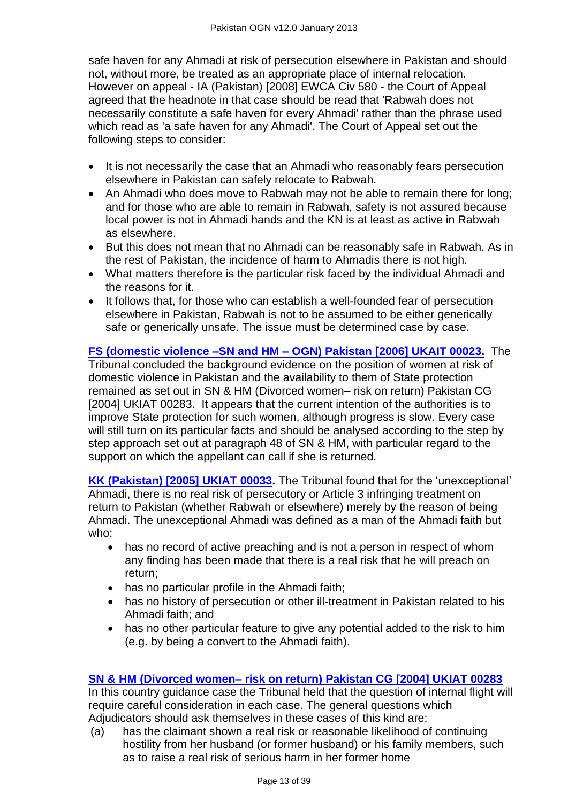safe haven for any Ahmadi at risk of persecution elsewhere in Pakistan and should not, without more, be treated as an appropriate place of internal relocation. However on appeal - IA (Pakistan) [2008] EWCA Civ 580 - the Court of Appeal agreed that the headnote in that case should be read that 'Rabwah does not necessarily constitute a safe haven for every Ahmadi' rather than the phrase used which read as 'a safe haven for any Ahmadi'. The Court of Appeal set out the following steps to consider:

- It is not necessarily the case that an Ahmadi who reasonably fears persecution elsewhere in Pakistan can safely relocate to Rabwah.
- An Ahmadi who does move to Rabwah may not be able to remain there for long; and for those who are able to remain in Rabwah, safety is not assured because local power is not in Ahmadi hands and the KN is at least as active in Rabwah as elsewhere.
- But this does not mean that no Ahmadi can be reasonably safe in Rabwah. As in the rest of Pakistan, the incidence of harm to Ahmadis there is not high.
- What matters therefore is the particular risk faced by the individual Ahmadi and the reasons for it.
- It follows that, for those who can establish a well-founded fear of persecution elsewhere in Pakistan, Rabwah is not to be assumed to be either generically safe or generically unsafe. The issue must be determined case by case.

#### **[FS \(domestic violence –SN and HM –](http://www.bailii.org/cgi-bin/markup.cgi?doc=/uk/cases/UKIAT/2006/00023.html&query=fs&method=boolean) OGN) Pakistan [2006] UKAIT 00023.** The Tribunal concluded the background evidence on the position of women at risk of domestic violence in Pakistan and the availability to them of State protection remained as set out in SN & HM (Divorced women– risk on return) Pakistan CG [2004] UKIAT 00283. It appears that the current intention of the authorities is to improve State protection for such women, although progress is slow. Every case will still turn on its particular facts and should be analysed according to the step by step approach set out at paragraph 48 of SN & HM, with particular regard to the support on which the appellant can call if she is returned.

**[KK \(Pakistan\) \[2005\] UKIAT 00033.](http://www.bailii.org/cgi-bin/markup.cgi?doc=/uk/cases/UKIAT/2005/00033.html&query=kk&method=boolean)** The Tribunal found that for the 'unexceptional' Ahmadi, there is no real risk of persecutory or Article 3 infringing treatment on return to Pakistan (whether Rabwah or elsewhere) merely by the reason of being Ahmadi. The unexceptional Ahmadi was defined as a man of the Ahmadi faith but who:

- has no record of active preaching and is not a person in respect of whom any finding has been made that there is a real risk that he will preach on return;
- has no particular profile in the Ahmadi faith;
- has no history of persecution or other ill-treatment in Pakistan related to his Ahmadi faith; and
- has no other particular feature to give any potential added to the risk to him (e.g. by being a convert to the Ahmadi faith).

# **SN & HM (Divorced women– [risk on return\) Pakistan CG \[2004\] UKIAT 00283](http://www.bailii.org/cgi-bin/markup.cgi?doc=/uk/cases/UKIAT/2004/00283.html&query=sn&method=boolean)**

In this country guidance case the Tribunal held that the question of internal flight will require careful consideration in each case. The general questions which Adjudicators should ask themselves in these cases of this kind are:

(a) has the claimant shown a real risk or reasonable likelihood of continuing hostility from her husband (or former husband) or his family members, such as to raise a real risk of serious harm in her former home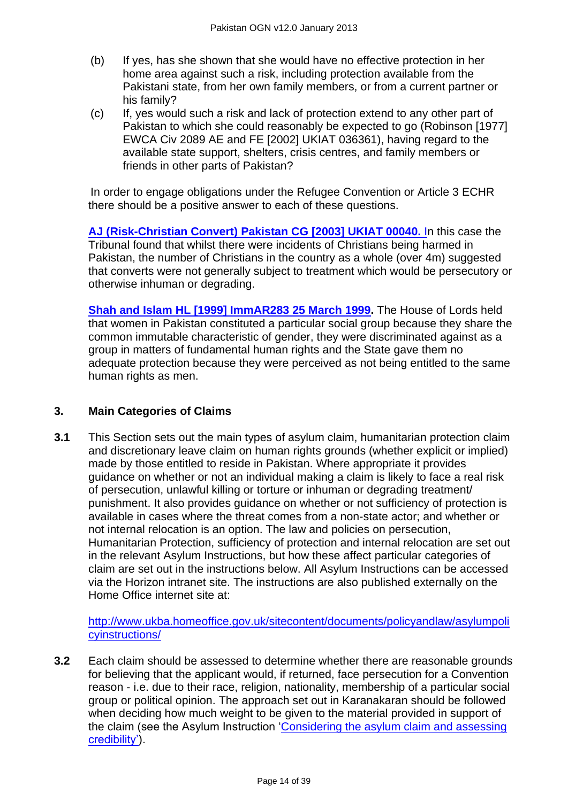- (b) If yes, has she shown that she would have no effective protection in her home area against such a risk, including protection available from the Pakistani state, from her own family members, or from a current partner or his family?
- (c) If, yes would such a risk and lack of protection extend to any other part of Pakistan to which she could reasonably be expected to go (Robinson [1977] EWCA Civ 2089 AE and FE [2002] UKIAT 036361), having regard to the available state support, shelters, crisis centres, and family members or friends in other parts of Pakistan?

In order to engage obligations under the Refugee Convention or Article 3 ECHR there should be a positive answer to each of these questions.

**[AJ \(Risk-Christian Convert\) Pakistan CG \[2003\] UKIAT 00040.](http://www.bailii.org/cgi-bin/markup.cgi?doc=/uk/cases/UKIAT/2003/00040.html&query=aj&method=boolean)** In this case the Tribunal found that whilst there were incidents of Christians being harmed in Pakistan, the number of Christians in the country as a whole (over 4m) suggested that converts were not generally subject to treatment which would be persecutory or otherwise inhuman or degrading.

**[Shah and Islam HL \[1999\] ImmAR283 25 March 1999.](http://www.bailii.org/cgi-bin/markup.cgi?doc=/uk/cases/UKHL/1999/20.html&query=shah+and+islam&method=boolean)** The House of Lords held that women in Pakistan constituted a particular social group because they share the common immutable characteristic of gender, they were discriminated against as a group in matters of fundamental human rights and the State gave them no adequate protection because they were perceived as not being entitled to the same human rights as men.

#### **3. Main Categories of Claims**

**3.1** This Section sets out the main types of asylum claim, humanitarian protection claim and discretionary leave claim on human rights grounds (whether explicit or implied) made by those entitled to reside in Pakistan. Where appropriate it provides guidance on whether or not an individual making a claim is likely to face a real risk of persecution, unlawful killing or torture or inhuman or degrading treatment/ punishment. It also provides guidance on whether or not sufficiency of protection is available in cases where the threat comes from a non-state actor; and whether or not internal relocation is an option. The law and policies on persecution, Humanitarian Protection, sufficiency of protection and internal relocation are set out in the relevant Asylum Instructions, but how these affect particular categories of claim are set out in the instructions below. All Asylum Instructions can be accessed via the Horizon intranet site. The instructions are also published externally on the Home Office internet site at:

[http://www.ukba.homeoffice.gov.uk/sitecontent/documents/policyandlaw/asylumpoli](http://www.ukba.homeoffice.gov.uk/sitecontent/documents/policyandlaw/asylumpolicyinstructions/) [cyinstructions/](http://www.ukba.homeoffice.gov.uk/sitecontent/documents/policyandlaw/asylumpolicyinstructions/)

**3.2** Each claim should be assessed to determine whether there are reasonable grounds for believing that the applicant would, if returned, face persecution for a Convention reason - i.e. due to their race, religion, nationality, membership of a particular social group or political opinion. The approach set out in Karanakaran should be followed when deciding how much weight to be given to the material provided in support of the claim (see the Asylum Instruction 'Considering the asylum claim and assessing [credibility'\)](http://www.ukba.homeoffice.gov.uk/sitecontent/documents/policyandlaw/asylumprocessguidance/consideringanddecidingtheclaim/guidance/considering-protection-.pdf?view=Binary).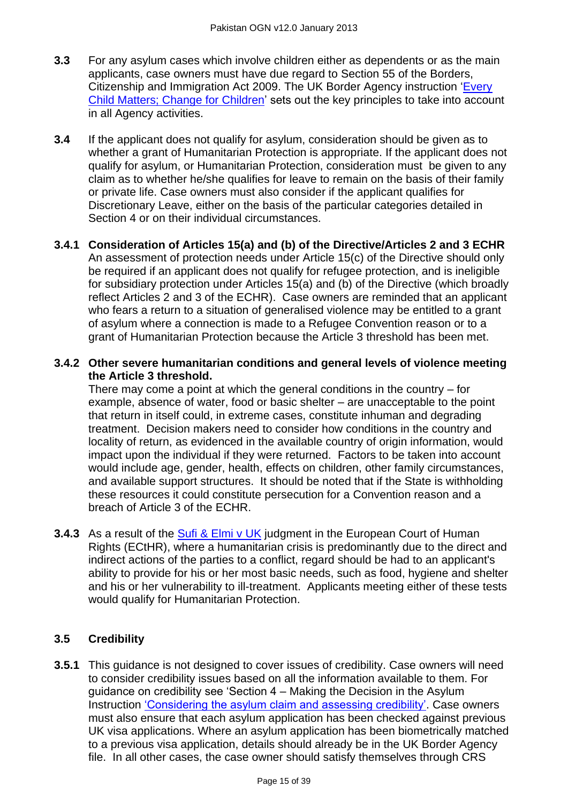- **3.3** For any asylum cases which involve children either as dependents or as the main applicants, case owners must have due regard to Section 55 of the Borders, Citizenship and Immigration Act 2009. The UK Border Agency instruction 'Every [Child Matters; Change for Children'](http://www.ukba.homeoffice.gov.uk/sitecontent/documents/policyandlaw/legislation/bci-act1/change-for-children.pdf?view=Binary) sets out the key principles to take into account in all Agency activities.
- **3.4** If the applicant does not qualify for asylum, consideration should be given as to whether a grant of Humanitarian Protection is appropriate. If the applicant does not qualify for asylum, or Humanitarian Protection, consideration must be given to any claim as to whether he/she qualifies for leave to remain on the basis of their family or private life. Case owners must also consider if the applicant qualifies for Discretionary Leave, either on the basis of the particular categories detailed in Section 4 or on their individual circumstances.
- **3.4.1 Consideration of Articles 15(a) and (b) of the Directive/Articles 2 and 3 ECHR** An assessment of protection needs under Article 15(c) of the Directive should only be required if an applicant does not qualify for refugee protection, and is ineligible for subsidiary protection under Articles 15(a) and (b) of the Directive (which broadly reflect Articles 2 and 3 of the ECHR). Case owners are reminded that an applicant who fears a return to a situation of generalised violence may be entitled to a grant of asylum where a connection is made to a Refugee Convention reason or to a grant of Humanitarian Protection because the Article 3 threshold has been met.

#### **3.4.2 Other severe humanitarian conditions and general levels of violence meeting the Article 3 threshold.**

There may come a point at which the general conditions in the country – for example, absence of water, food or basic shelter – are unacceptable to the point that return in itself could, in extreme cases, constitute inhuman and degrading treatment. Decision makers need to consider how conditions in the country and locality of return, as evidenced in the available country of origin information, would impact upon the individual if they were returned. Factors to be taken into account would include age, gender, health, effects on children, other family circumstances, and available support structures. It should be noted that if the State is withholding these resources it could constitute persecution for a Convention reason and a breach of Article 3 of the ECHR.

**3.4.3** As a result of the **Sufi & Elmi v UK** judgment in the European Court of Human Rights (ECtHR), where a humanitarian crisis is predominantly due to the direct and indirect actions of the parties to a conflict, regard should be had to an applicant's ability to provide for his or her most basic needs, such as food, hygiene and shelter and his or her vulnerability to ill-treatment. Applicants meeting either of these tests would qualify for Humanitarian Protection.

# **3.5 Credibility**

**3.5.1** This guidance is not designed to cover issues of credibility. Case owners will need to consider credibility issues based on all the information available to them. For guidance on credibility see 'Section 4 – Making the Decision in the Asylum Instruction 'Considering the asylum claim and assessing credibility'. Case owners must also ensure that each asylum application has been checked against previous UK visa applications. Where an asylum application has been biometrically matched to a previous visa application, details should already be in the UK Border Agency file. In all other cases, the case owner should satisfy themselves through CRS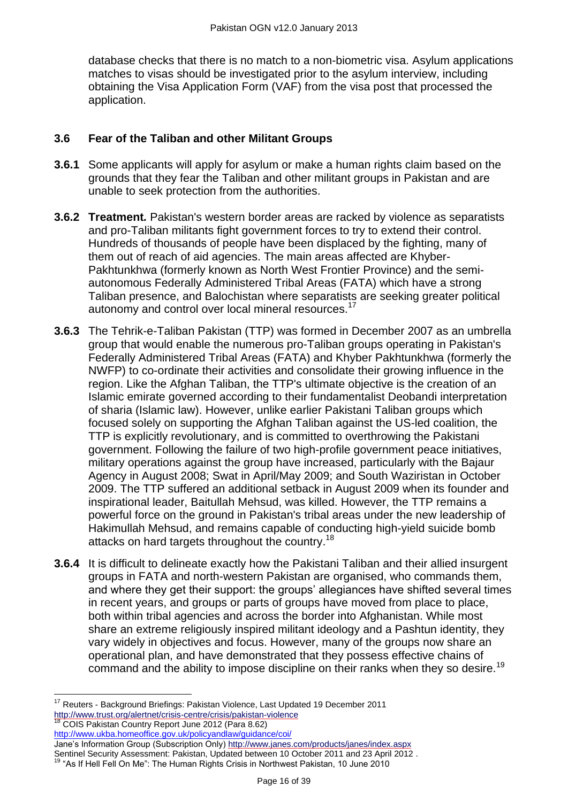database checks that there is no match to a non-biometric visa. Asylum applications matches to visas should be investigated prior to the asylum interview, including obtaining the Visa Application Form (VAF) from the visa post that processed the application.

# **3.6 Fear of the Taliban and other Militant Groups**

- **3.6.1** Some applicants will apply for asylum or make a human rights claim based on the grounds that they fear the Taliban and other militant groups in Pakistan and are unable to seek protection from the authorities.
- **3.6.2 Treatment***.* Pakistan's western border areas are racked by violence as separatists and pro-Taliban militants fight government forces to try to extend their control. Hundreds of thousands of people have been displaced by the fighting, many of them out of reach of aid agencies. The main areas affected are Khyber-Pakhtunkhwa (formerly known as North West Frontier Province) and the semiautonomous Federally Administered Tribal Areas (FATA) which have a strong Taliban presence, and Balochistan where separatists are seeking greater political autonomy and control over local mineral resources.<sup>17</sup>
- **3.6.3** The Tehrik-e-Taliban Pakistan (TTP) was formed in December 2007 as an umbrella group that would enable the numerous pro-Taliban groups operating in Pakistan's Federally Administered Tribal Areas (FATA) and Khyber Pakhtunkhwa (formerly the NWFP) to co-ordinate their activities and consolidate their growing influence in the region. Like the Afghan Taliban, the TTP's ultimate objective is the creation of an Islamic emirate governed according to their fundamentalist Deobandi interpretation of sharia (Islamic law). However, unlike earlier Pakistani Taliban groups which focused solely on supporting the Afghan Taliban against the US-led coalition, the TTP is explicitly revolutionary, and is committed to overthrowing the Pakistani government. Following the failure of two high-profile government peace initiatives, military operations against the group have increased, particularly with the Bajaur Agency in August 2008; Swat in April/May 2009; and South Waziristan in October 2009. The TTP suffered an additional setback in August 2009 when its founder and inspirational leader, Baitullah Mehsud, was killed. However, the TTP remains a powerful force on the ground in Pakistan's tribal areas under the new leadership of Hakimullah Mehsud, and remains capable of conducting high-yield suicide bomb attacks on hard targets throughout the country.<sup>18</sup>
- **3.6.4** It is difficult to delineate exactly how the Pakistani Taliban and their allied insurgent groups in FATA and north-western Pakistan are organised, who commands them, and where they get their support: the groups' allegiances have shifted several times in recent years, and groups or parts of groups have moved from place to place, both within tribal agencies and across the border into Afghanistan. While most share an extreme religiously inspired militant ideology and a Pashtun identity, they vary widely in objectives and focus. However, many of the groups now share an operational plan, and have demonstrated that they possess effective chains of command and the ability to impose discipline on their ranks when they so desire.<sup>19</sup>

Jane's Information Group (Subscription Only) <http://www.janes.com/products/janes/index.aspx> Sentinel Security Assessment: Pakistan, Updated between 10 October 2011 and 23 April 2012 .

 $\overline{a}$  $17$  Reuters - Background Briefings: Pakistan Violence, Last Updated 19 December 2011 <http://www.trust.org/alertnet/crisis-centre/crisis/pakistan-violence>

<sup>18</sup> COIS Pakistan Country Report June 2012 (Para 8.62) <http://www.ukba.homeoffice.gov.uk/policyandlaw/guidance/coi/>

<sup>&</sup>lt;sup>19</sup> "As If Hell Fell On Me": The Human Rights Crisis in Northwest Pakistan, 10 June 2010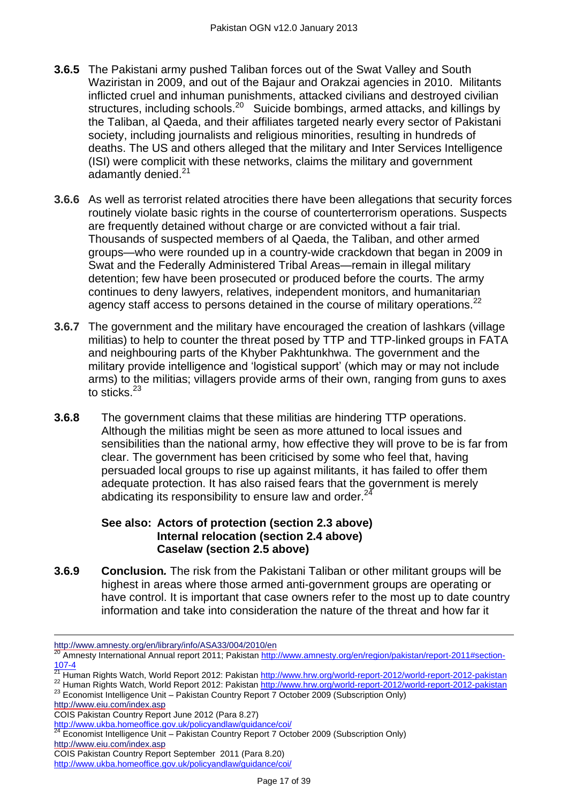- **3.6.5** The Pakistani army pushed Taliban forces out of the Swat Valley and South Waziristan in 2009, and out of the Bajaur and Orakzai agencies in 2010. Militants inflicted cruel and inhuman punishments, attacked civilians and destroyed civilian structures, including schools.<sup>20</sup> Suicide bombings, armed attacks, and killings by the Taliban, al Qaeda, and their affiliates targeted nearly every sector of Pakistani society, including journalists and religious minorities, resulting in hundreds of deaths. The US and others alleged that the military and Inter Services Intelligence (ISI) were complicit with these networks, claims the military and government adamantly denied. $21$
- **3.6.6** As well as terrorist related atrocities there have been allegations that security forces routinely violate basic rights in the course of counterterrorism operations. Suspects are frequently detained without charge or are convicted without a fair trial. Thousands of suspected members of al Qaeda, the Taliban, and other armed groups—who were rounded up in a country-wide crackdown that began in 2009 in Swat and the Federally Administered Tribal Areas—remain in illegal military detention; few have been prosecuted or produced before the courts. The army continues to deny lawyers, relatives, independent monitors, and humanitarian agency staff access to persons detained in the course of military operations.<sup>22</sup>
- **3.6.7** The government and the military have encouraged the creation of lashkars (village militias) to help to counter the threat posed by TTP and TTP-linked groups in FATA and neighbouring parts of the Khyber Pakhtunkhwa. The government and the military provide intelligence and 'logistical support' (which may or may not include arms) to the militias; villagers provide arms of their own, ranging from guns to axes to sticks.<sup>23</sup>
- **3.6.8** The government claims that these militias are hindering TTP operations. Although the militias might be seen as more attuned to local issues and sensibilities than the national army, how effective they will prove to be is far from clear. The government has been criticised by some who feel that, having persuaded local groups to rise up against militants, it has failed to offer them adequate protection. It has also raised fears that the government is merely abdicating its responsibility to ensure law and order. $^{24}$

#### **See also: [Actors of protection](#page-1-1) (section 2.3 above) [Internal relocation](#page-5-0) (section 2.4 above) [Caselaw](#page-6-0) (section 2.5 above)**

**3.6.9 Conclusion***.* The risk from the Pakistani Taliban or other militant groups will be highest in areas where those armed anti-government groups are operating or have control. It is important that case owners refer to the most up to date country information and take into consideration the nature of the threat and how far it

<http://www.eiu.com/index.asp>

 $\overline{a}$ 

```
http://www.ukba.homeoffice.gov.uk/policyandlaw/guidance/coi/
```
 $^{24}$  Economist Intelligence Unit – Pakistan Country Report 7 October 2009 (Subscription Only) <http://www.eiu.com/index.asp>

<http://www.amnesty.org/en/library/info/ASA33/004/2010/en>

<sup>20</sup> Amnesty International Annual report 2011; Pakistan [http://www.amnesty.org/en/region/pakistan/report-2011#section-](http://www.amnesty.org/en/region/pakistan/report-2011%23section-107-4)[107-4](http://www.amnesty.org/en/region/pakistan/report-2011%23section-107-4)

<sup>&</sup>lt;sup>21</sup> Human Rights Watch, World Report 2012: Pakistan <u>http://www.hrw.org/world-report-2012/world-report-2012-pakistan</u>

<sup>&</sup>lt;sup>22</sup> Human Rights Watch, World Report 2012: Pakistan<http://www.hrw.org/world-report-2012/world-report-2012-pakistan> 22 Human Rights Watch, World Report 2012: Pakistan http://www.hrw.org/world-report-2012/world-report-2012-pakistan<br>23 Economist Intelligence Unit – Pakistan Country Report 7 October 2009 (Subscription Only)

COIS Pakistan Country Report June 2012 (Para 8.27)

COIS Pakistan Country Report September 2011 (Para 8.20)

<http://www.ukba.homeoffice.gov.uk/policyandlaw/guidance/coi/>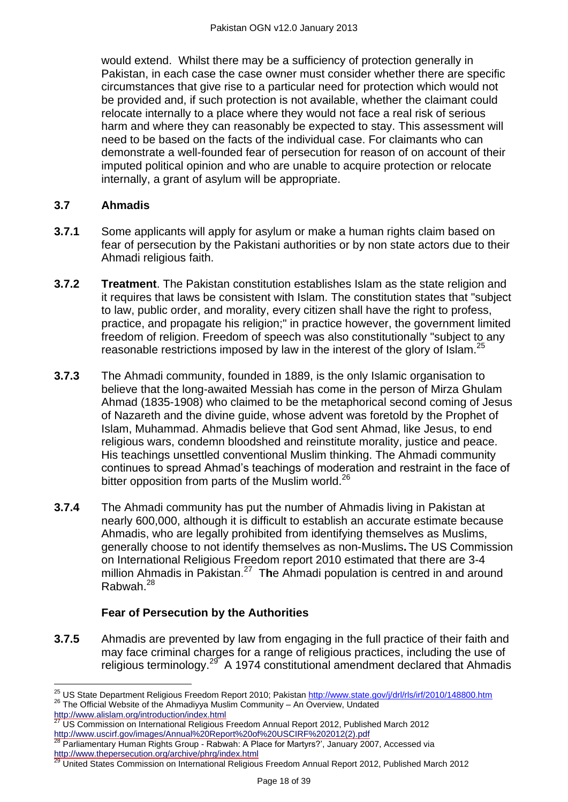would extend. Whilst there may be a sufficiency of protection generally in Pakistan, in each case the case owner must consider whether there are specific circumstances that give rise to a particular need for protection which would not be provided and, if such protection is not available, whether the claimant could relocate internally to a place where they would not face a real risk of serious harm and where they can reasonably be expected to stay. This assessment will need to be based on the facts of the individual case. For claimants who can demonstrate a well-founded fear of persecution for reason of on account of their imputed political opinion and who are unable to acquire protection or relocate internally, a grant of asylum will be appropriate.

## **3.7 Ahmadis**

- **3.7.1** Some applicants will apply for asylum or make a human rights claim based on fear of persecution by the Pakistani authorities or by non state actors due to their Ahmadi religious faith.
- **3.7.2 Treatment**. The Pakistan constitution establishes Islam as the state religion and it requires that laws be consistent with Islam. The constitution states that "subject to law, public order, and morality, every citizen shall have the right to profess, practice, and propagate his religion;" in practice however, the government limited freedom of religion. Freedom of speech was also constitutionally "subject to any reasonable restrictions imposed by law in the interest of the glory of Islam.<sup>25</sup>
- **3.7.3** The Ahmadi community, founded in 1889, is the only Islamic organisation to believe that the long-awaited Messiah has come in the person of Mirza Ghulam Ahmad (1835-1908) who claimed to be the metaphorical second coming of Jesus of Nazareth and the divine guide, whose advent was foretold by the Prophet of Islam, Muhammad. Ahmadis believe that God sent Ahmad, like Jesus, to end religious wars, condemn bloodshed and reinstitute morality, justice and peace. His teachings unsettled conventional Muslim thinking. The Ahmadi community continues to spread Ahmad's teachings of moderation and restraint in the face of bitter opposition from parts of the Muslim world.<sup>26</sup>
- **3.7.4** The Ahmadi community has put the number of Ahmadis living in Pakistan at nearly 600,000, although it is difficult to establish an accurate estimate because Ahmadis, who are legally prohibited from identifying themselves as Muslims, generally choose to not identify themselves as non-Muslims**.** The US Commission on International Religious Freedom report 2010 estimated that there are 3-4 million Ahmadis in Pakistan. <sup>27</sup> T**h**e Ahmadi population is centred in and around Rabwah.<sup>28</sup>

# **Fear of Persecution by the Authorities**

**3.7.5** Ahmadis are prevented by law from engaging in the full practice of their faith and may face criminal charges for a range of religious practices, including the use of religious terminology.<sup>29</sup> A 1974 constitutional amendment declared that Ahmadis

 $\overline{a}$ <sup>25</sup> US State Department Religious Freedom Report 2010; Pakistan<http://www.state.gov/j/drl/rls/irf/2010/148800.htm> <sup>26</sup> The Official Website of the Ahmadiyya Muslim Community – An Overview, Undated

<http://www.alislam.org/introduction/index.html><br>27 LIC Care

<sup>27</sup> US Commission on International Religious Freedom Annual Report 2012, Published March 2012 [http://www.uscirf.gov/images/Annual%20Report%20of%20USCIRF%202012\(2\).pdf](http://www.uscirf.gov/images/Annual%20Report%20of%20USCIRF%202012(2).pdf)

<sup>&</sup>lt;sup>28</sup> Parliamentary Human Rights Group - Rabwah: A Place for Martyrs?', January 2007, Accessed via <http://www.thepersecution.org/archive/phrg/index.html>

<sup>29</sup> United States Commission on International Religious Freedom Annual Report 2012, Published March 2012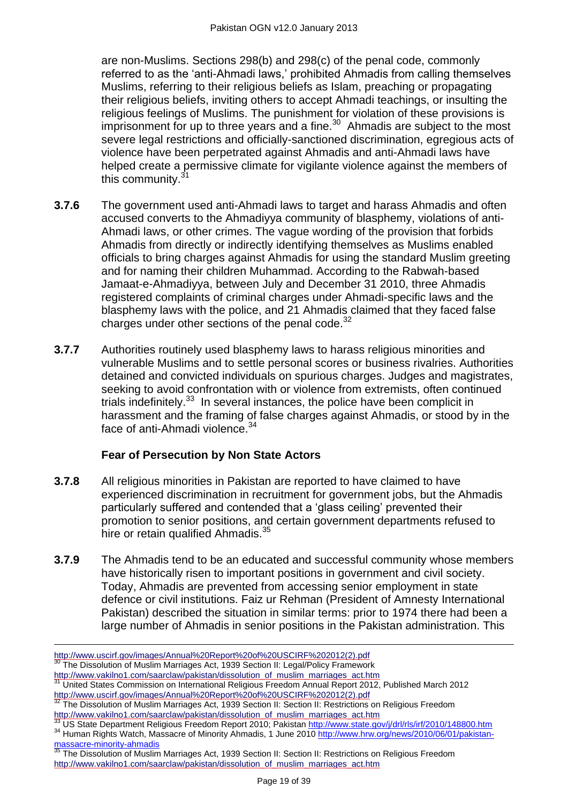are non-Muslims. Sections 298(b) and 298(c) of the penal code, commonly referred to as the 'anti-Ahmadi laws,' prohibited Ahmadis from calling themselves Muslims, referring to their religious beliefs as Islam, preaching or propagating their religious beliefs, inviting others to accept Ahmadi teachings, or insulting the religious feelings of Muslims. The punishment for violation of these provisions is imprisonment for up to three years and a fine. $30$  Ahmadis are subject to the most severe legal restrictions and officially-sanctioned discrimination, egregious acts of violence have been perpetrated against Ahmadis and anti-Ahmadi laws have helped create a permissive climate for vigilante violence against the members of this community.<sup>31</sup>

- **3.7.6** The government used anti-Ahmadi laws to target and harass Ahmadis and often accused converts to the Ahmadiyya community of blasphemy, violations of anti-Ahmadi laws, or other crimes. The vague wording of the provision that forbids Ahmadis from directly or indirectly identifying themselves as Muslims enabled officials to bring charges against Ahmadis for using the standard Muslim greeting and for naming their children Muhammad. According to the Rabwah-based Jamaat-e-Ahmadiyya, between July and December 31 2010, three Ahmadis registered complaints of criminal charges under Ahmadi-specific laws and the blasphemy laws with the police, and 21 Ahmadis claimed that they faced false charges under other sections of the penal code.<sup>32</sup>
- **3.7.7** Authorities routinely used blasphemy laws to harass religious minorities and vulnerable Muslims and to settle personal scores or business rivalries. Authorities detained and convicted individuals on spurious charges. Judges and magistrates, seeking to avoid confrontation with or violence from extremists, often continued trials indefinitely.<sup>33</sup> In several instances, the police have been complicit in harassment and the framing of false charges against Ahmadis, or stood by in the face of anti-Ahmadi violence.<sup>34</sup>

# **Fear of Persecution by Non State Actors**

- **3.7.8** All religious minorities in Pakistan are reported to have claimed to have experienced discrimination in recruitment for government jobs, but the Ahmadis particularly suffered and contended that a 'glass ceiling' prevented their promotion to senior positions, and certain government departments refused to hire or retain qualified Ahmadis.<sup>35</sup>
- **3.7.9** The Ahmadis tend to be an educated and successful community whose members have historically risen to important positions in government and civil society. Today, Ahmadis are prevented from accessing senior employment in state defence or civil institutions. Faiz ur Rehman (President of Amnesty International Pakistan) described the situation in similar terms: prior to 1974 there had been a large number of Ahmadis in senior positions in the Pakistan administration. This

 $\overline{a}$ 

[http://www.uscirf.gov/images/Annual%20Report%20of%20USCIRF%202012\(2\).pdf](http://www.uscirf.gov/images/Annual%20Report%20of%20USCIRF%202012(2).pdf) <sup>30</sup> The Dissolution of Muslim Marriages Act, 1939 Section II: Legal/Policy Framework

http://www.vakilno1.com/saarclaw/pakistan/dissolution\_of\_muslim\_marriages\_act.htm

<sup>31</sup> United States Commission on International Religious Freedom Annual Report 2012, Published March 2012 [http://www.uscirf.gov/images/Annual%20Report%20of%20USCIRF%202012\(2\).pdf](http://www.uscirf.gov/images/Annual%20Report%20of%20USCIRF%202012(2).pdf)

<sup>&</sup>lt;sup>32</sup> The Dissolution of Muslim Marriages Act, 1939 Section II: Section II: Restrictions on Religious Freedom http://www.vakilno1.com/saarclaw/pakistan/dissolution\_of\_muslim\_marriages\_act.htm

US State Department Religious Freedom Report 2010; Pakistan<http://www.state.gov/j/drl/rls/irf/2010/148800.htm> <sup>34</sup> Human Rights Watch, Massacre of Minority Ahmadis, 1 June 201[0 http://www.hrw.org/news/2010/06/01/pakistan](http://www.hrw.org/news/2010/06/01/pakistan-massacre-minority-ahmadis)[massacre-minority-ahmadis](http://www.hrw.org/news/2010/06/01/pakistan-massacre-minority-ahmadis)

<sup>35</sup> The Dissolution of Muslim Marriages Act, 1939 Section II: Section II: Restrictions on Religious Freedom http://www.vakilno1.com/saarclaw/pakistan/dissolution\_of\_muslim\_marriages\_act.htm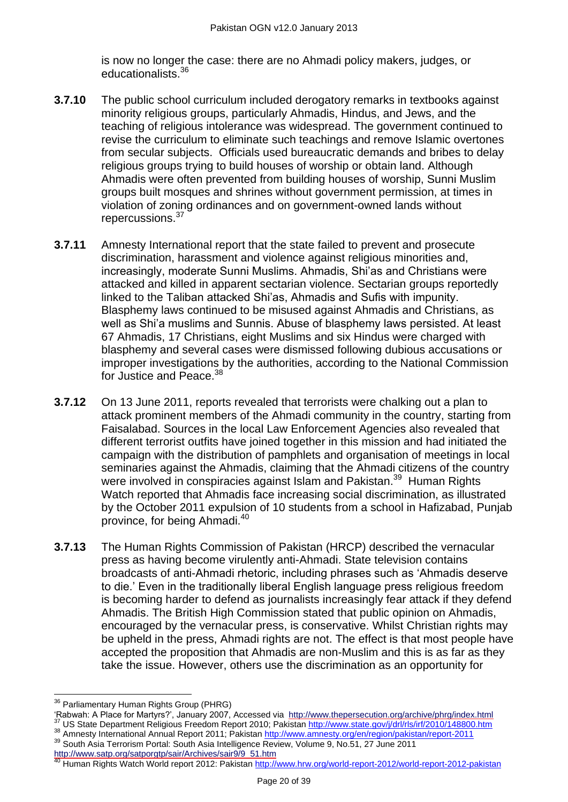is now no longer the case: there are no Ahmadi policy makers, judges, or educationalists.<sup>36</sup>

- **3.7.10** The public school curriculum included derogatory remarks in textbooks against minority religious groups, particularly Ahmadis, Hindus, and Jews, and the teaching of religious intolerance was widespread. The government continued to revise the curriculum to eliminate such teachings and remove Islamic overtones from secular subjects. Officials used bureaucratic demands and bribes to delay religious groups trying to build houses of worship or obtain land. Although Ahmadis were often prevented from building houses of worship, Sunni Muslim groups built mosques and shrines without government permission, at times in violation of zoning ordinances and on government-owned lands without repercussions.<sup>37</sup>
- **3.7.11** Amnesty International report that the state failed to prevent and prosecute discrimination, harassment and violence against religious minorities and, increasingly, moderate Sunni Muslims. Ahmadis, Shi'as and Christians were attacked and killed in apparent sectarian violence. Sectarian groups reportedly linked to the Taliban attacked Shi'as, Ahmadis and Sufis with impunity. Blasphemy laws continued to be misused against Ahmadis and Christians, as well as Shi'a muslims and Sunnis. Abuse of blasphemy laws persisted. At least 67 Ahmadis, 17 Christians, eight Muslims and six Hindus were charged with blasphemy and several cases were dismissed following dubious accusations or improper investigations by the authorities, according to the National Commission for Justice and Peace.<sup>38</sup>
- **3.7.12** On 13 June 2011, reports revealed that terrorists were chalking out a plan to attack prominent members of the Ahmadi community in the country, starting from Faisalabad. Sources in the local Law Enforcement Agencies also revealed that different terrorist outfits have joined together in this mission and had initiated the campaign with the distribution of pamphlets and organisation of meetings in local seminaries against the Ahmadis, claiming that the Ahmadi citizens of the country were involved in conspiracies against Islam and Pakistan.<sup>39</sup> Human Rights Watch reported that Ahmadis face increasing social discrimination, as illustrated by the October 2011 expulsion of 10 students from a school in Hafizabad, Punjab province, for being Ahmadi.<sup>40</sup>
- **3.7.13** The Human Rights Commission of Pakistan (HRCP) described the vernacular press as having become virulently anti-Ahmadi. State television contains broadcasts of anti-Ahmadi rhetoric, including phrases such as 'Ahmadis deserve to die.' Even in the traditionally liberal English language press religious freedom is becoming harder to defend as journalists increasingly fear attack if they defend Ahmadis. The British High Commission stated that public opinion on Ahmadis, encouraged by the vernacular press, is conservative. Whilst Christian rights may be upheld in the press, Ahmadi rights are not. The effect is that most people have accepted the proposition that Ahmadis are non-Muslim and this is as far as they take the issue. However, others use the discrimination as an opportunity for

<sup>39</sup> South Asia Terrorism Portal: South Asia Intelligence Review, Volume 9, No.51, 27 June 2011 [http://www.satp.org/satporgtp/sair/Archives/sair9/9\\_51.htm](http://www.satp.org/satporgtp/sair/Archives/sair9/9_51.htm)

 $\overline{a}$ <sup>36</sup> Parliamentary Human Rights Group (PHRG)

<sup>‗</sup>Rabwah: A Place for Martyrs?', January 2007, Accessed via <http://www.thepersecution.org/archive/phrg/index.html>

US State Department Religious Freedom Report 2010; Pakistan<http://www.state.gov/j/drl/rls/irf/2010/148800.htm> 38 Amnesty International Annual Report 2011; Pakistan<http://www.amnesty.org/en/region/pakistan/report-2011>

Human Rights Watch World report 2012: Pakistan<http://www.hrw.org/world-report-2012/world-report-2012-pakistan>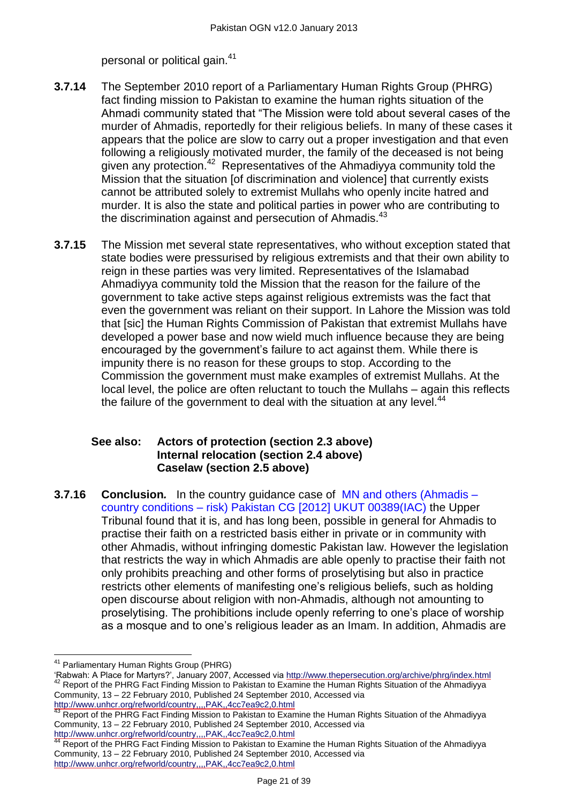personal or political gain.<sup>41</sup>

- **3.7.14** The September 2010 report of a Parliamentary Human Rights Group (PHRG) fact finding mission to Pakistan to examine the human rights situation of the Ahmadi community stated that "The Mission were told about several cases of the murder of Ahmadis, reportedly for their religious beliefs. In many of these cases it appears that the police are slow to carry out a proper investigation and that even following a religiously motivated murder, the family of the deceased is not being given any protection.<sup>42</sup> Representatives of the Ahmadiyya community told the Mission that the situation [of discrimination and violence] that currently exists cannot be attributed solely to extremist Mullahs who openly incite hatred and murder. It is also the state and political parties in power who are contributing to the discrimination against and persecution of Ahmadis.<sup>43</sup>
- **3.7.15** The Mission met several state representatives, who without exception stated that state bodies were pressurised by religious extremists and that their own ability to reign in these parties was very limited. Representatives of the Islamabad Ahmadiyya community told the Mission that the reason for the failure of the government to take active steps against religious extremists was the fact that even the government was reliant on their support. In Lahore the Mission was told that [sic] the Human Rights Commission of Pakistan that extremist Mullahs have developed a power base and now wield much influence because they are being encouraged by the government's failure to act against them. While there is impunity there is no reason for these groups to stop. According to the Commission the government must make examples of extremist Mullahs. At the local level, the police are often reluctant to touch the Mullahs – again this reflects the failure of the government to deal with the situation at any level. $44$

#### **See also: [Actors of protection](#page-1-1) (section 2.3 above) [Internal relocation](#page-5-0) (section 2.4 above) [Caselaw](#page-6-0) (section 2.5 above)**

**3.7.16 Conclusion***.* In the country guidance case of [MN and others \(Ahmadis](http://www.bailii.org/uk/cases/UKUT/IAC/2012/00389_ukut_iac_2012_mn_ors_pakistan_cg.html) – country conditions – [risk\) Pakistan CG \[2012\] UKUT 00389\(IAC\)](http://www.bailii.org/uk/cases/UKUT/IAC/2012/00389_ukut_iac_2012_mn_ors_pakistan_cg.html) the Upper Tribunal found that it is, and has long been, possible in general for Ahmadis to practise their faith on a restricted basis either in private or in community with other Ahmadis, without infringing domestic Pakistan law. However the legislation that restricts the way in which Ahmadis are able openly to practise their faith not only prohibits preaching and other forms of proselytising but also in practice restricts other elements of manifesting one's religious beliefs, such as holding open discourse about religion with non-Ahmadis, although not amounting to proselytising. The prohibitions include openly referring to one's place of worship as a mosque and to one's religious leader as an Imam. In addition, Ahmadis are

 $\overline{\phantom{a}}$ <sup>41</sup> Parliamentary Human Rights Group (PHRG)

<sup>‗</sup>Rabwah: A Place for Martyrs?', January 2007, Accessed via<http://www.thepersecution.org/archive/phrg/index.html> <sup>42</sup> Report of the PHRG Fact Finding Mission to Pakistan to Examine the Human Rights Situation of the Ahmadiyya Community, 13 – 22 February 2010, Published 24 September 2010, Accessed via <http://www.unhcr.org/refworld/country,,,,PAK,,4cc7ea9c2,0.html>

<sup>&</sup>lt;sup>43</sup> Report of the PHRG Fact Finding Mission to Pakistan to Examine the Human Rights Situation of the Ahmadiyya Community, 13 – 22 February 2010, Published 24 September 2010, Accessed via http://www.unhcr.org/refworld/country...,PAK,,4cc7ea9c2,0.html<br><sup>44</sup> Report of the PHPC Fest Finding to the control of the PHPC fest Finding to the control of the PHPC fest finding to the control of the PHPC fest finding to

Report of the PHRG Fact Finding Mission to Pakistan to Examine the Human Rights Situation of the Ahmadiyya Community, 13 – 22 February 2010, Published 24 September 2010, Accessed via <http://www.unhcr.org/refworld/country,,,,PAK,,4cc7ea9c2,0.html>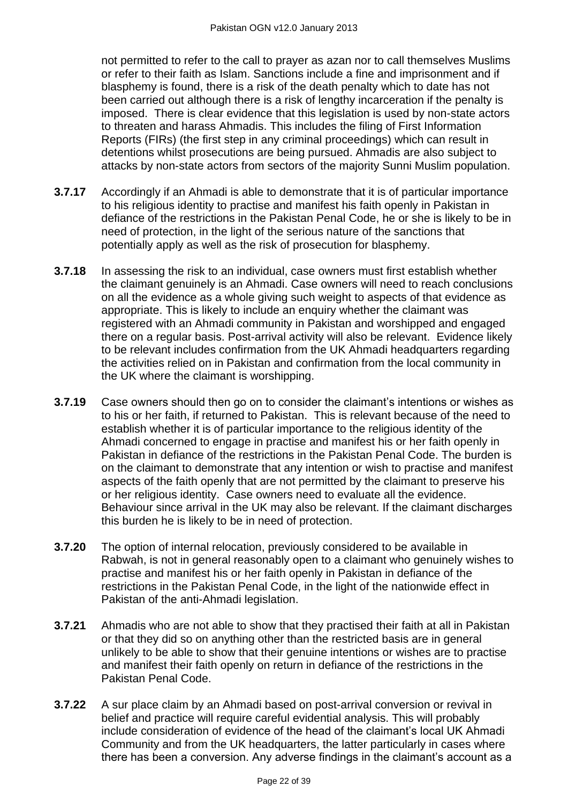not permitted to refer to the call to prayer as azan nor to call themselves Muslims or refer to their faith as Islam. Sanctions include a fine and imprisonment and if blasphemy is found, there is a risk of the death penalty which to date has not been carried out although there is a risk of lengthy incarceration if the penalty is imposed. There is clear evidence that this legislation is used by non-state actors to threaten and harass Ahmadis. This includes the filing of First Information Reports (FIRs) (the first step in any criminal proceedings) which can result in detentions whilst prosecutions are being pursued. Ahmadis are also subject to attacks by non-state actors from sectors of the majority Sunni Muslim population.

- **3.7.17** Accordingly if an Ahmadi is able to demonstrate that it is of particular importance to his religious identity to practise and manifest his faith openly in Pakistan in defiance of the restrictions in the Pakistan Penal Code, he or she is likely to be in need of protection, in the light of the serious nature of the sanctions that potentially apply as well as the risk of prosecution for blasphemy.
- **3.7.18** In assessing the risk to an individual, case owners must first establish whether the claimant genuinely is an Ahmadi. Case owners will need to reach conclusions on all the evidence as a whole giving such weight to aspects of that evidence as appropriate. This is likely to include an enquiry whether the claimant was registered with an Ahmadi community in Pakistan and worshipped and engaged there on a regular basis. Post-arrival activity will also be relevant. Evidence likely to be relevant includes confirmation from the UK Ahmadi headquarters regarding the activities relied on in Pakistan and confirmation from the local community in the UK where the claimant is worshipping.
- **3.7.19** Case owners should then go on to consider the claimant's intentions or wishes as to his or her faith, if returned to Pakistan. This is relevant because of the need to establish whether it is of particular importance to the religious identity of the Ahmadi concerned to engage in practise and manifest his or her faith openly in Pakistan in defiance of the restrictions in the Pakistan Penal Code. The burden is on the claimant to demonstrate that any intention or wish to practise and manifest aspects of the faith openly that are not permitted by the claimant to preserve his or her religious identity. Case owners need to evaluate all the evidence. Behaviour since arrival in the UK may also be relevant. If the claimant discharges this burden he is likely to be in need of protection.
- **3.7.20** The option of internal relocation, previously considered to be available in Rabwah, is not in general reasonably open to a claimant who genuinely wishes to practise and manifest his or her faith openly in Pakistan in defiance of the restrictions in the Pakistan Penal Code, in the light of the nationwide effect in Pakistan of the anti-Ahmadi legislation.
- **3.7.21** Ahmadis who are not able to show that they practised their faith at all in Pakistan or that they did so on anything other than the restricted basis are in general unlikely to be able to show that their genuine intentions or wishes are to practise and manifest their faith openly on return in defiance of the restrictions in the Pakistan Penal Code.
- **3.7.22** A sur place claim by an Ahmadi based on post-arrival conversion or revival in belief and practice will require careful evidential analysis. This will probably include consideration of evidence of the head of the claimant's local UK Ahmadi Community and from the UK headquarters, the latter particularly in cases where there has been a conversion. Any adverse findings in the claimant's account as a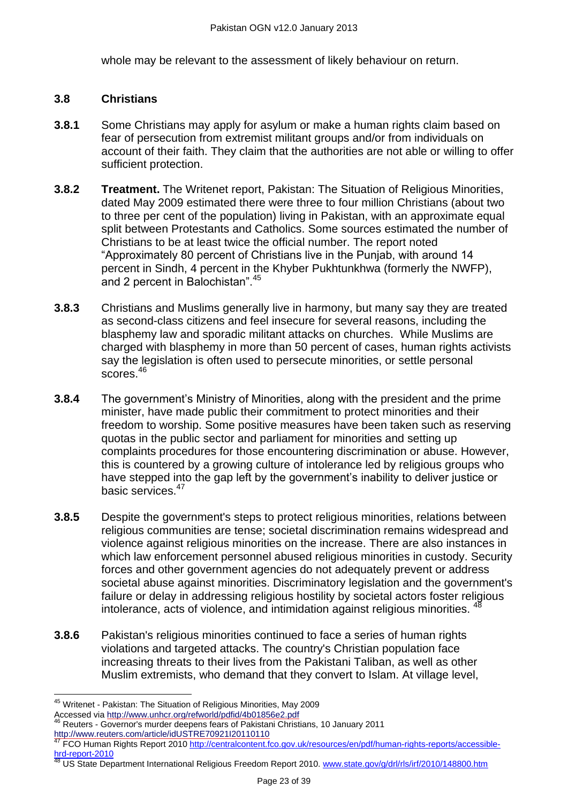whole may be relevant to the assessment of likely behaviour on return.

#### **3.8 Christians**

- **3.8.1** Some Christians may apply for asylum or make a human rights claim based on fear of persecution from extremist militant groups and/or from individuals on account of their faith. They claim that the authorities are not able or willing to offer sufficient protection.
- **3.8.2 Treatment.** The Writenet report, Pakistan: The Situation of Religious Minorities, dated May 2009 estimated there were three to four million Christians (about two to three per cent of the population) living in Pakistan, with an approximate equal split between Protestants and Catholics. Some sources estimated the number of Christians to be at least twice the official number. The report noted ―Approximately 80 percent of Christians live in the Punjab, with around 14 percent in Sindh, 4 percent in the Khyber Pukhtunkhwa (formerly the NWFP), and 2 percent in Balochistan". 45
- **3.8.3** Christians and Muslims generally live in harmony, but many say they are treated as second-class citizens and feel insecure for several reasons, including the blasphemy law and sporadic militant attacks on churches. While Muslims are charged with blasphemy in more than 50 percent of cases, human rights activists say the legislation is often used to persecute minorities, or settle personal scores.<sup>46</sup>
- **3.8.4** The government's Ministry of Minorities, along with the president and the prime minister, have made public their commitment to protect minorities and their freedom to worship. Some positive measures have been taken such as reserving quotas in the public sector and parliament for minorities and setting up complaints procedures for those encountering discrimination or abuse. However, this is countered by a growing culture of intolerance led by religious groups who have stepped into the gap left by the government's inability to deliver justice or basic services.<sup>47</sup>
- **3.8.5** Despite the government's steps to protect religious minorities, relations between religious communities are tense; societal discrimination remains widespread and violence against religious minorities on the increase. There are also instances in which law enforcement personnel abused religious minorities in custody. Security forces and other government agencies do not adequately prevent or address societal abuse against minorities. Discriminatory legislation and the government's failure or delay in addressing religious hostility by societal actors foster religious intolerance, acts of violence, and intimidation against religious minorities.  $44$
- **3.8.6** Pakistan's religious minorities continued to face a series of human rights violations and targeted attacks. The country's Christian population face increasing threats to their lives from the Pakistani Taliban, as well as other Muslim extremists, who demand that they convert to Islam. At village level,

<sup>48</sup> US State Department International Religious Freedom Report 2010. [www.state.gov/g/drl/rls/irf/2010/148800.htm](http://www.state.gov/g/drl/rls/irf/2010/148800.htm)

 $\overline{a}$ <sup>45</sup> Writenet - Pakistan: The Situation of Religious Minorities, May 2009

Accessed via<http://www.unhcr.org/refworld/pdfid/4b01856e2.pdf><br>46 Reuters Coversed:

<sup>46</sup> Reuters - Governor's murder deepens fears of Pakistani Christians, 10 January 2011 <http://www.reuters.com/article/idUSTRE70921I20110110>

<sup>&</sup>lt;sup>47</sup> FCO Human Rights Report 2010 [http://centralcontent.fco.gov.uk/resources/en/pdf/human-rights-reports/accessible](http://centralcontent.fco.gov.uk/resources/en/pdf/human-rights-reports/accessible-hrd-report-2010)[hrd-report-2010](http://centralcontent.fco.gov.uk/resources/en/pdf/human-rights-reports/accessible-hrd-report-2010)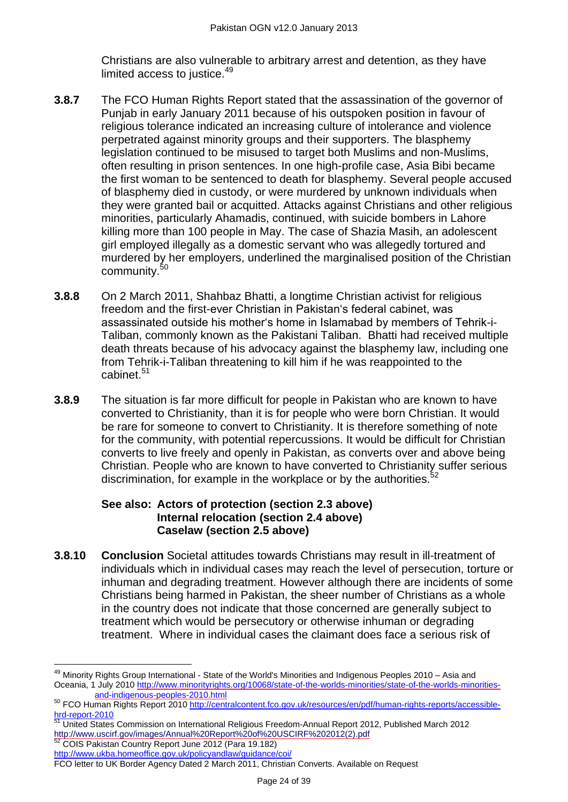Christians are also vulnerable to arbitrary arrest and detention, as they have limited access to justice. $49$ 

- **3.8.7** The FCO Human Rights Report stated that the assassination of the governor of Punjab in early January 2011 because of his outspoken position in favour of religious tolerance indicated an increasing culture of intolerance and violence perpetrated against minority groups and their supporters. The blasphemy legislation continued to be misused to target both Muslims and non-Muslims, often resulting in prison sentences. In one high-profile case, Asia Bibi became the first woman to be sentenced to death for blasphemy. Several people accused of blasphemy died in custody, or were murdered by unknown individuals when they were granted bail or acquitted. Attacks against Christians and other religious minorities, particularly Ahamadis, continued, with suicide bombers in Lahore killing more than 100 people in May. The case of Shazia Masih, an adolescent girl employed illegally as a domestic servant who was allegedly tortured and murdered by her employers, underlined the marginalised position of the Christian community.<sup>50</sup>
- **3.8.8** On 2 March 2011, Shahbaz Bhatti, a longtime Christian activist for religious freedom and the first-ever Christian in Pakistan's federal cabinet, was assassinated outside his mother's home in Islamabad by members of Tehrik-i-Taliban, commonly known as the Pakistani Taliban. Bhatti had received multiple death threats because of his advocacy against the blasphemy law, including one from Tehrik-i-Taliban threatening to kill him if he was reappointed to the cabinet.<sup>51</sup>
- **3.8.9** The situation is far more difficult for people in Pakistan who are known to have converted to Christianity, than it is for people who were born Christian. It would be rare for someone to convert to Christianity. It is therefore something of note for the community, with potential repercussions. It would be difficult for Christian converts to live freely and openly in Pakistan, as converts over and above being Christian. People who are known to have converted to Christianity suffer serious discrimination, for example in the workplace or by the authorities.<sup>52</sup>

# **See also: [Actors of protection](#page-1-1) (section 2.3 above) [Internal relocation](#page-5-0) (section 2.4 above) [Caselaw](#page-6-0) (section 2.5 above)**

**3.8.10 Conclusion** Societal attitudes towards Christians may result in ill-treatment of individuals which in individual cases may reach the level of persecution, torture or inhuman and degrading treatment. However although there are incidents of some Christians being harmed in Pakistan, the sheer number of Christians as a whole in the country does not indicate that those concerned are generally subject to treatment which would be persecutory or otherwise inhuman or degrading treatment. Where in individual cases the claimant does face a serious risk of

 $\overline{a}$ 

<sup>&</sup>lt;sup>49</sup> Minority Rights Group International - State of the World's Minorities and Indigenous Peoples 2010 - Asia and Oceania, 1 July 2010 [http://www.minorityrights.org/10068/state-of-the-worlds-minorities/state-of-the-worlds-minorities](http://www.minorityrights.org/10068/state-of-the-worlds-minorities/state-of-the-worlds-minorities-and-indigenous-peoples-2010.html)[and-indigenous-peoples-2010.html](http://www.minorityrights.org/10068/state-of-the-worlds-minorities/state-of-the-worlds-minorities-and-indigenous-peoples-2010.html) 

<sup>50</sup> FCO Human Rights Report 2010 [http://centralcontent.fco.gov.uk/resources/en/pdf/human-rights-reports/accessible](http://centralcontent.fco.gov.uk/resources/en/pdf/human-rights-reports/accessible-hrd-report-2010)[hrd-report-2010](http://centralcontent.fco.gov.uk/resources/en/pdf/human-rights-reports/accessible-hrd-report-2010)

<sup>51</sup> United States Commission on International Religious Freedom-Annual Report 2012, Published March 2012 [http://www.uscirf.gov/images/Annual%20Report%20of%20USCIRF%202012\(2\).pdf](http://www.uscirf.gov/images/Annual%20Report%20of%20USCIRF%202012(2).pdf)<br><sup>52</sup> COIS Pakistan Country Report, June 2012 (Para 19.182)

<sup>52</sup> COIS Pakistan Country Report June 2012 (Para 19.182)

<http://www.ukba.homeoffice.gov.uk/policyandlaw/guidance/coi/>

FCO letter to UK Border Agency Dated 2 March 2011, Christian Converts. Available on Request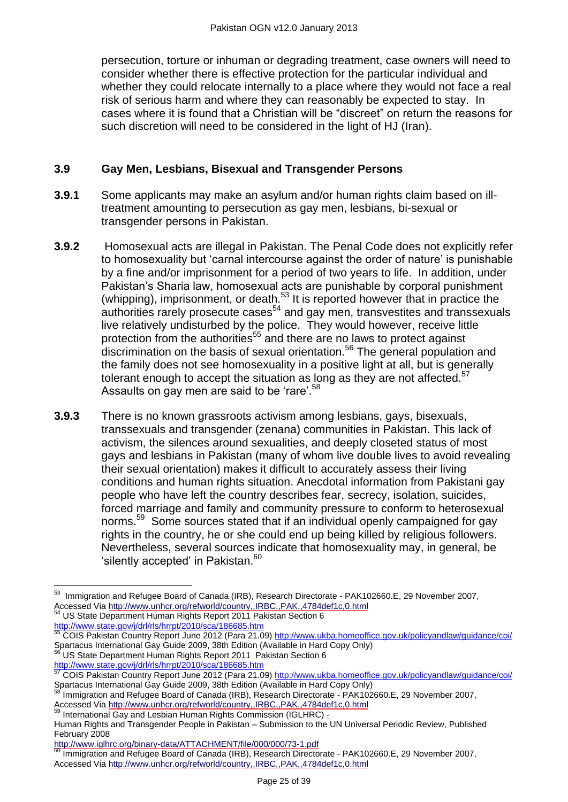persecution, torture or inhuman or degrading treatment, case owners will need to consider whether there is effective protection for the particular individual and whether they could relocate internally to a place where they would not face a real risk of serious harm and where they can reasonably be expected to stay. In cases where it is found that a Christian will be "discreet" on return the reasons for such discretion will need to be considered in the light of HJ (Iran).

# **3.9 Gay Men, Lesbians, Bisexual and Transgender Persons**

- **3.9.1** Some applicants may make an asylum and/or human rights claim based on illtreatment amounting to persecution as gay men, lesbians, bi-sexual or transgender persons in Pakistan.
- **3.9.2** Homosexual acts are illegal in Pakistan. The Penal Code does not explicitly refer to homosexuality but 'carnal intercourse against the order of nature' is punishable by a fine and/or imprisonment for a period of two years to life. In addition, under Pakistan's Sharia law, homosexual acts are punishable by corporal punishment (whipping), imprisonment, or death.<sup>53</sup> It is reported however that in practice the authorities rarely prosecute cases<sup>54</sup> and gay men, transvestites and transsexuals live relatively undisturbed by the police. They would however, receive little protection from the authorities<sup>55</sup> and there are no laws to protect against discrimination on the basis of sexual orientation.<sup>56</sup> The general population and the family does not see homosexuality in a positive light at all, but is generally tolerant enough to accept the situation as long as they are not affected. $57$ Assaults on gay men are said to be 'rare'. $58$
- **3.9.3** There is no known grassroots activism among lesbians, gays, bisexuals, transsexuals and transgender (zenana) communities in Pakistan. This lack of activism, the silences around sexualities, and deeply closeted status of most gays and lesbians in Pakistan (many of whom live double lives to avoid revealing their sexual orientation) makes it difficult to accurately assess their living conditions and human rights situation. Anecdotal information from Pakistani gay people who have left the country describes fear, secrecy, isolation, suicides, forced marriage and family and community pressure to conform to heterosexual norms.<sup>59</sup> Some sources stated that if an individual openly campaigned for gay rights in the country, he or she could end up being killed by religious followers. Nevertheless, several sources indicate that homosexuality may, in general, be 'silently accepted' in Pakistan.<sup>60</sup>

 $\overline{a}$ 

 $^{53}$  Immigration and Refugee Board of Canada (IRB), Research Directorate - PAK102660.E, 29 November 2007, Accessed Vi[a http://www.unhcr.org/refworld/country,,IRBC,,PAK,,4784def1c,0.html](http://www.unhcr.org/refworld/country,,IRBC,,PAK,,4784def1c,0.html) <sup>54</sup> US State Department Human Rights Report 2011 Pakistan Section 6 <http://www.state.gov/j/drl/rls/hrrpt/2010/sca/186685.htm>

<sup>&</sup>lt;sup>55</sup> COIS Pakistan Country Report June 2012 (Para 21.09)<http://www.ukba.homeoffice.gov.uk/policyandlaw/guidance/coi/> Spartacus International Gay Guide 2009, 38th Edition (Available in Hard Copy Only)

<sup>56</sup> US State Department Human Rights Report 2011 Pakistan Section 6 <http://www.state.gov/j/drl/rls/hrrpt/2010/sca/186685.htm>

<sup>&</sup>lt;sup>57</sup> COIS Pakistan Country Report June 2012 (Para 21.09)<http://www.ukba.homeoffice.gov.uk/policyandlaw/guidance/coi/> Spartacus International Gay Guide 2009, 38th Edition (Available in Hard Copy Only)

Immigration and Refugee Board of Canada (IRB), Research Directorate - PAK102660.E, 29 November 2007, Accessed Vi[a http://www.unhcr.org/refworld/country,,IRBC,,PAK,,4784def1c,0.html](http://www.unhcr.org/refworld/country,,IRBC,,PAK,,4784def1c,0.html)

<sup>59</sup> International Gay and Lesbian Human Rights Commission (IGLHRC) -

Human Rights and Transgender People in Pakistan – Submission to the UN Universal Periodic Review, Published February 2008

http://www.iglhrc.org/binary-data/ATTACHMENT/file/000/000/73-1.pdf

Immigration and Refugee Board of Canada (IRB), Research Directorate - PAK102660.E, 29 November 2007, Accessed Vi[a http://www.unhcr.org/refworld/country,,IRBC,,PAK,,4784def1c,0.html](http://www.unhcr.org/refworld/country,,IRBC,,PAK,,4784def1c,0.html)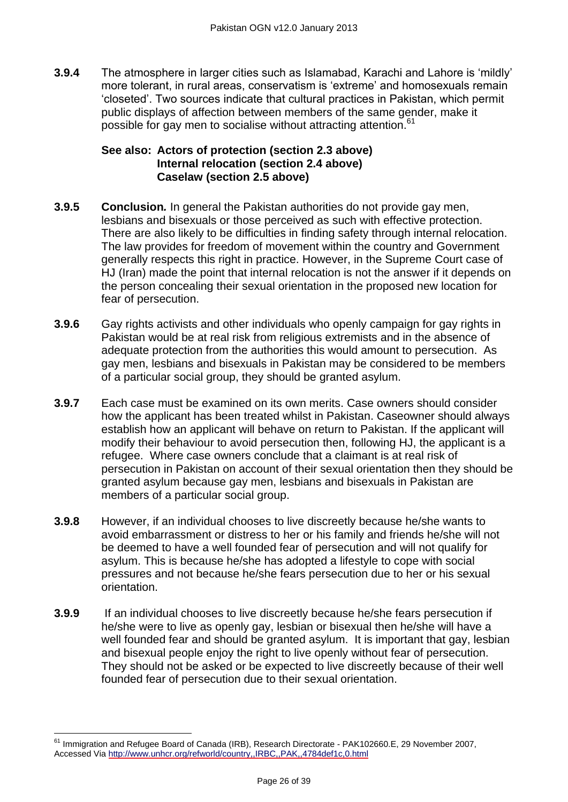**3.9.4** The atmosphere in larger cities such as Islamabad, Karachi and Lahore is 'mildly' more tolerant, in rural areas, conservatism is 'extreme' and homosexuals remain ‗closeted'. Two sources indicate that cultural practices in Pakistan, which permit public displays of affection between members of the same gender, make it possible for gay men to socialise without attracting attention.<sup>61</sup>

#### **See also: [Actors of protection](#page-1-1) (section 2.3 above) [Internal relocation](#page-5-0) (section 2.4 above) [Caselaw](#page-6-0) (section 2.5 above)**

- **3.9.5 Conclusion***.* In general the Pakistan authorities do not provide gay men, lesbians and bisexuals or those perceived as such with effective protection. There are also likely to be difficulties in finding safety through internal relocation. The law provides for freedom of movement within the country and Government generally respects this right in practice. However, in the Supreme Court case of HJ (Iran) made the point that internal relocation is not the answer if it depends on the person concealing their sexual orientation in the proposed new location for fear of persecution.
- **3.9.6** Gay rights activists and other individuals who openly campaign for gay rights in Pakistan would be at real risk from religious extremists and in the absence of adequate protection from the authorities this would amount to persecution. As gay men, lesbians and bisexuals in Pakistan may be considered to be members of a particular social group, they should be granted asylum.
- **3.9.7** Each case must be examined on its own merits. Case owners should consider how the applicant has been treated whilst in Pakistan. Caseowner should always establish how an applicant will behave on return to Pakistan. If the applicant will modify their behaviour to avoid persecution then, following HJ, the applicant is a refugee. Where case owners conclude that a claimant is at real risk of persecution in Pakistan on account of their sexual orientation then they should be granted asylum because gay men, lesbians and bisexuals in Pakistan are members of a particular social group.
- **3.9.8** However, if an individual chooses to live discreetly because he/she wants to avoid embarrassment or distress to her or his family and friends he/she will not be deemed to have a well founded fear of persecution and will not qualify for asylum. This is because he/she has adopted a lifestyle to cope with social pressures and not because he/she fears persecution due to her or his sexual orientation.
- **3.9.9** If an individual chooses to live discreetly because he/she fears persecution if he/she were to live as openly gay, lesbian or bisexual then he/she will have a well founded fear and should be granted asylum. It is important that gay, lesbian and bisexual people enjoy the right to live openly without fear of persecution. They should not be asked or be expected to live discreetly because of their well founded fear of persecution due to their sexual orientation.

 $\overline{\phantom{a}}$ 

<sup>&</sup>lt;sup>61</sup> Immigration and Refugee Board of Canada (IRB), Research Directorate - PAK102660.E, 29 November 2007, Accessed Vi[a http://www.unhcr.org/refworld/country,,IRBC,,PAK,,4784def1c,0.html](http://www.unhcr.org/refworld/country,,IRBC,,PAK,,4784def1c,0.html)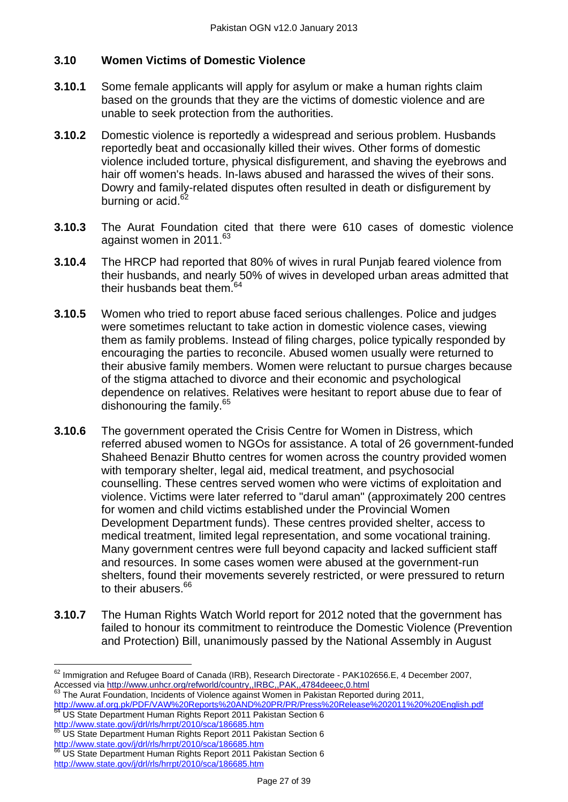#### **3.10 Women Victims of Domestic Violence**

- **3.10.1** Some female applicants will apply for asylum or make a human rights claim based on the grounds that they are the victims of domestic violence and are unable to seek protection from the authorities.
- **3.10.2** Domestic violence is reportedly a widespread and serious problem. Husbands reportedly beat and occasionally killed their wives. Other forms of domestic violence included torture, physical disfigurement, and shaving the eyebrows and hair off women's heads. In-laws abused and harassed the wives of their sons. Dowry and family-related disputes often resulted in death or disfigurement by burning or acid.<sup>62</sup>
- **3.10.3** The Aurat Foundation cited that there were 610 cases of domestic violence against women in 2011.<sup>63</sup>
- **3.10.4** The HRCP had reported that 80% of wives in rural Punjab feared violence from their husbands, and nearly 50% of wives in developed urban areas admitted that their husbands beat them  $64$
- **3.10.5** Women who tried to report abuse faced serious challenges. Police and judges were sometimes reluctant to take action in domestic violence cases, viewing them as family problems. Instead of filing charges, police typically responded by encouraging the parties to reconcile. Abused women usually were returned to their abusive family members. Women were reluctant to pursue charges because of the stigma attached to divorce and their economic and psychological dependence on relatives. Relatives were hesitant to report abuse due to fear of dishonouring the family.<sup>65</sup>
- **3.10.6** The government operated the Crisis Centre for Women in Distress, which referred abused women to NGOs for assistance. A total of 26 government-funded Shaheed Benazir Bhutto centres for women across the country provided women with temporary shelter, legal aid, medical treatment, and psychosocial counselling. These centres served women who were victims of exploitation and violence. Victims were later referred to "darul aman" (approximately 200 centres for women and child victims established under the Provincial Women Development Department funds). These centres provided shelter, access to medical treatment, limited legal representation, and some vocational training. Many government centres were full beyond capacity and lacked sufficient staff and resources. In some cases women were abused at the government-run shelters, found their movements severely restricted, or were pressured to return to their abusers.<sup>66</sup>
- **3.10.7** The Human Rights Watch World report for 2012 noted that the government has failed to honour its commitment to reintroduce the Domestic Violence (Prevention and Protection) Bill, unanimously passed by the National Assembly in August

<http://www.state.gov/j/drl/rls/hrrpt/2010/sca/186685.htm> 65 US State Department Human Rights Report 2011 Pakistan Section 6 Let Journal in the Hights Report 2011 Pal<br><http://www.state.gov/j/drl/rls/hrrpt/2010/sca/186685.htm>

 $\overline{a}$  $^{62}$  Immigration and Refugee Board of Canada (IRB), Research Directorate - PAK102656.E, 4 December 2007, Accessed via<http://www.unhcr.org/refworld/country,,IRBC,,PAK,,4784deeec,0.html>

<sup>63</sup> The Aurat Foundation, Incidents of Violence against Women in Pakistan Reported during 2011,

<http://www.af.org.pk/PDF/VAW%20Reports%20AND%20PR/PR/Press%20Release%202011%20%20English.pdf> <sup>64</sup> US State Department Human Rights Report 2011 Pakistan Section 6

US State Department Human Rights Report 2011 Pakistan Section 6 <http://www.state.gov/j/drl/rls/hrrpt/2010/sca/186685.htm>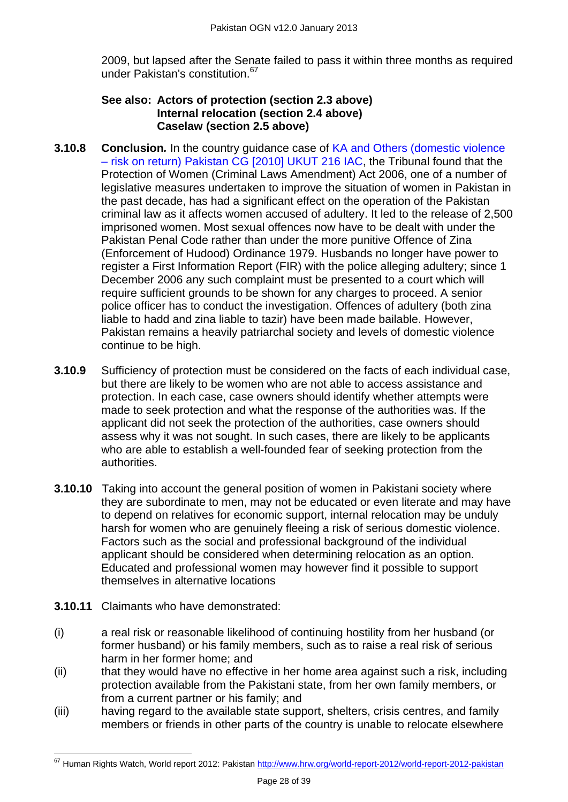2009, but lapsed after the Senate failed to pass it within three months as required under Pakistan's constitution.<sup>67</sup> 

#### **See also: [Actors of protection](#page-1-1) (section 2.3 above) [Internal relocation](#page-5-0) (section 2.4 above) [Caselaw](#page-6-0) (section 2.5 above)**

- **3.10.8 Conclusion***.* In the country guidance case of [KA and Others \(domestic violence](http://www.bailii.org/cgi-bin/markup.cgi?doc=/uk/cases/UKUT/IAC/2010/00216_ukut_iac_2010_ka_others_pakistan_cg.html&query=Pakistan&method=boolean)  – [risk on return\) Pakistan CG \[2010\] UKUT 216 IAC,](http://www.bailii.org/cgi-bin/markup.cgi?doc=/uk/cases/UKUT/IAC/2010/00216_ukut_iac_2010_ka_others_pakistan_cg.html&query=Pakistan&method=boolean) the Tribunal found that the Protection of Women (Criminal Laws Amendment) Act 2006, one of a number of legislative measures undertaken to improve the situation of women in Pakistan in the past decade, has had a significant effect on the operation of the Pakistan criminal law as it affects women accused of adultery. It led to the release of 2,500 imprisoned women. Most sexual offences now have to be dealt with under the Pakistan Penal Code rather than under the more punitive Offence of Zina (Enforcement of Hudood) Ordinance 1979. Husbands no longer have power to register a First Information Report (FIR) with the police alleging adultery; since 1 December 2006 any such complaint must be presented to a court which will require sufficient grounds to be shown for any charges to proceed. A senior police officer has to conduct the investigation. Offences of adultery (both zina liable to hadd and zina liable to tazir) have been made bailable. However, Pakistan remains a heavily patriarchal society and levels of domestic violence continue to be high.
- **3.10.9** Sufficiency of protection must be considered on the facts of each individual case, but there are likely to be women who are not able to access assistance and protection. In each case, case owners should identify whether attempts were made to seek protection and what the response of the authorities was. If the applicant did not seek the protection of the authorities, case owners should assess why it was not sought. In such cases, there are likely to be applicants who are able to establish a well-founded fear of seeking protection from the authorities.
- **3.10.10** Taking into account the general position of women in Pakistani society where they are subordinate to men, may not be educated or even literate and may have to depend on relatives for economic support, internal relocation may be unduly harsh for women who are genuinely fleeing a risk of serious domestic violence. Factors such as the social and professional background of the individual applicant should be considered when determining relocation as an option. Educated and professional women may however find it possible to support themselves in alternative locations
- **3.10.11** Claimants who have demonstrated:
- (i) a real risk or reasonable likelihood of continuing hostility from her husband (or former husband) or his family members, such as to raise a real risk of serious harm in her former home; and
- (ii) that they would have no effective in her home area against such a risk, including protection available from the Pakistani state, from her own family members, or from a current partner or his family; and
- (iii) having regard to the available state support, shelters, crisis centres, and family members or friends in other parts of the country is unable to relocate elsewhere

 $\overline{a}$ <sup>67</sup> Human Rights Watch, World report 2012: Pakistan<http://www.hrw.org/world-report-2012/world-report-2012-pakistan>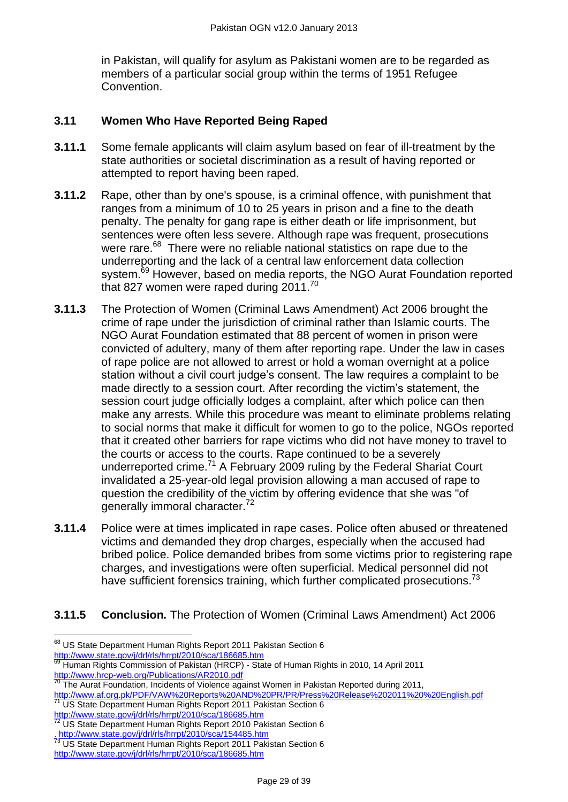in Pakistan, will qualify for asylum as Pakistani women are to be regarded as members of a particular social group within the terms of 1951 Refugee Convention.

# **3.11 Women Who Have Reported Being Raped**

- **3.11.1** Some female applicants will claim asylum based on fear of ill-treatment by the state authorities or societal discrimination as a result of having reported or attempted to report having been raped.
- **3.11.2** Rape, other than by one's spouse, is a criminal offence, with punishment that ranges from a minimum of 10 to 25 years in prison and a fine to the death penalty. The penalty for gang rape is either death or life imprisonment, but sentences were often less severe. Although rape was frequent, prosecutions were rare.<sup>68</sup> There were no reliable national statistics on rape due to the underreporting and the lack of a central law enforcement data collection system.<sup>69</sup> However, based on media reports, the NGO Aurat Foundation reported that 827 women were raped during 2011.<sup>70</sup>
- **3.11.3** The Protection of Women (Criminal Laws Amendment) Act 2006 brought the crime of rape under the jurisdiction of criminal rather than Islamic courts. The NGO Aurat Foundation estimated that 88 percent of women in prison were convicted of adultery, many of them after reporting rape. Under the law in cases of rape police are not allowed to arrest or hold a woman overnight at a police station without a civil court judge's consent. The law requires a complaint to be made directly to a session court. After recording the victim's statement, the session court judge officially lodges a complaint, after which police can then make any arrests. While this procedure was meant to eliminate problems relating to social norms that make it difficult for women to go to the police, NGOs reported that it created other barriers for rape victims who did not have money to travel to the courts or access to the courts. Rape continued to be a severely underreported crime.<sup>71</sup> A February 2009 ruling by the Federal Shariat Court invalidated a 25-year-old legal provision allowing a man accused of rape to question the credibility of the victim by offering evidence that she was "of generally immoral character.<sup>72</sup>
- **3.11.4** Police were at times implicated in rape cases. Police often abused or threatened victims and demanded they drop charges, especially when the accused had bribed police. Police demanded bribes from some victims prior to registering rape charges, and investigations were often superficial. Medical personnel did not have sufficient forensics training, which further complicated prosecutions.<sup>73</sup>

# **3.11.5 Conclusion***.* The Protection of Women (Criminal Laws Amendment) Act 2006

 $\overline{a}$ 

<sup>&</sup>lt;sup>68</sup> [US](file://Poise.HomeOffice.Local/data/L01C/Users/GOPPYS/OutlookSecureTemp/US) State Department Human Rights Report 2011 Pakistan Section 6 <http://www.state.gov/j/drl/rls/hrrpt/2010/sca/186685.htm>

<sup>69</sup> Human Rights Commission of Pakistan (HRCP) - State of Human Rights in 2010, 14 April 2011 <http://www.hrcp-web.org/Publications/AR2010.pdf>

 $70$  The Aurat Foundation, Incidents of Violence against Women in Pakistan Reported during 2011, <http://www.af.org.pk/PDF/VAW%20Reports%20AND%20PR/PR/Press%20Release%202011%20%20English.pdf>

<sup>&</sup>lt;sup>71</sup> US State Department Human Rights Report 2011 Pakistan Section 6 <http://www.state.gov/j/drl/rls/hrrpt/2010/sca/186685.htm>

<sup>&</sup>lt;sup>72</sup> US State Department Human Rights Report 2010 Pakistan Section 6 . [http://www.state.gov/j/drl/rls/hrrpt/2010/sca/154485.htm](http://www.ukba.homeoffice.gov.uk/policyandlaw/guidance/coi/)

<sup>&</sup>lt;sup>73</sup> [US](file://Poise.HomeOffice.Local/data/L01C/Users/GOPPYS/My%20Documents/Operational%20Guidance%20Notes/US) State Department Human Rights Report 2011 Pakistan Section 6 <http://www.state.gov/j/drl/rls/hrrpt/2010/sca/186685.htm>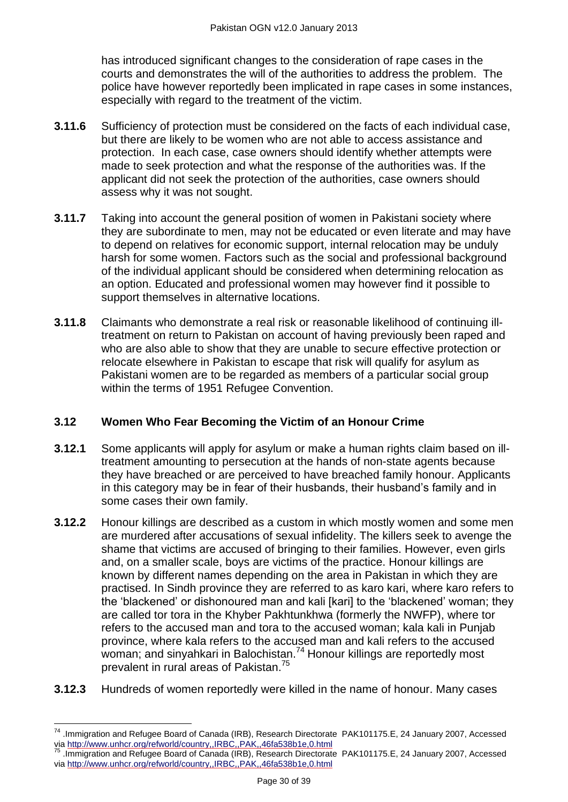has introduced significant changes to the consideration of rape cases in the courts and demonstrates the will of the authorities to address the problem. The police have however reportedly been implicated in rape cases in some instances, especially with regard to the treatment of the victim.

- **3.11.6** Sufficiency of protection must be considered on the facts of each individual case, but there are likely to be women who are not able to access assistance and protection. In each case, case owners should identify whether attempts were made to seek protection and what the response of the authorities was. If the applicant did not seek the protection of the authorities, case owners should assess why it was not sought.
- **3.11.7** Taking into account the general position of women in Pakistani society where they are subordinate to men, may not be educated or even literate and may have to depend on relatives for economic support, internal relocation may be unduly harsh for some women. Factors such as the social and professional background of the individual applicant should be considered when determining relocation as an option. Educated and professional women may however find it possible to support themselves in alternative locations.
- **3.11.8** Claimants who demonstrate a real risk or reasonable likelihood of continuing illtreatment on return to Pakistan on account of having previously been raped and who are also able to show that they are unable to secure effective protection or relocate elsewhere in Pakistan to escape that risk will qualify for asylum as Pakistani women are to be regarded as members of a particular social group within the terms of 1951 Refugee Convention.

# **3.12 Women Who Fear Becoming the Victim of an Honour Crime**

- **3.12.1** Some applicants will apply for asylum or make a human rights claim based on illtreatment amounting to persecution at the hands of non-state agents because they have breached or are perceived to have breached family honour. Applicants in this category may be in fear of their husbands, their husband's family and in some cases their own family.
- **3.12.2** Honour killings are described as a custom in which mostly women and some men are murdered after accusations of sexual infidelity. The killers seek to avenge the shame that victims are accused of bringing to their families. However, even girls and, on a smaller scale, boys are victims of the practice. Honour killings are known by different names depending on the area in Pakistan in which they are practised. In Sindh province they are referred to as karo kari, where karo refers to the 'blackened' or dishonoured man and kali [kari] to the 'blackened' woman; they are called tor tora in the Khyber Pakhtunkhwa (formerly the NWFP), where tor refers to the accused man and tora to the accused woman; kala kali in Punjab province, where kala refers to the accused man and kali refers to the accused woman; and sinyahkari in Balochistan.<sup>74</sup> Honour killings are reportedly most prevalent in rural areas of Pakistan.<sup>75</sup>
- **3.12.3** Hundreds of women reportedly were killed in the name of honour. Many cases

 $\overline{a}$ <sup>74</sup> .Immigration and Refugee Board of Canada (IRB), Research Directorate PAK101175.E, 24 January 2007, Accessed vi[a http://www.unhcr.org/refworld/country,,IRBC,,PAK,,46fa538b1e,0.html](http://www.unhcr.org/refworld/country,,IRBC,,PAK,,46fa538b1e,0.html)

<sup>75</sup> .Immigration and Refugee Board of Canada (IRB), Research Directorate PAK101175.E, 24 January 2007, Accessed vi[a http://www.unhcr.org/refworld/country,,IRBC,,PAK,,46fa538b1e,0.html](http://www.unhcr.org/refworld/country,,IRBC,,PAK,,46fa538b1e,0.html)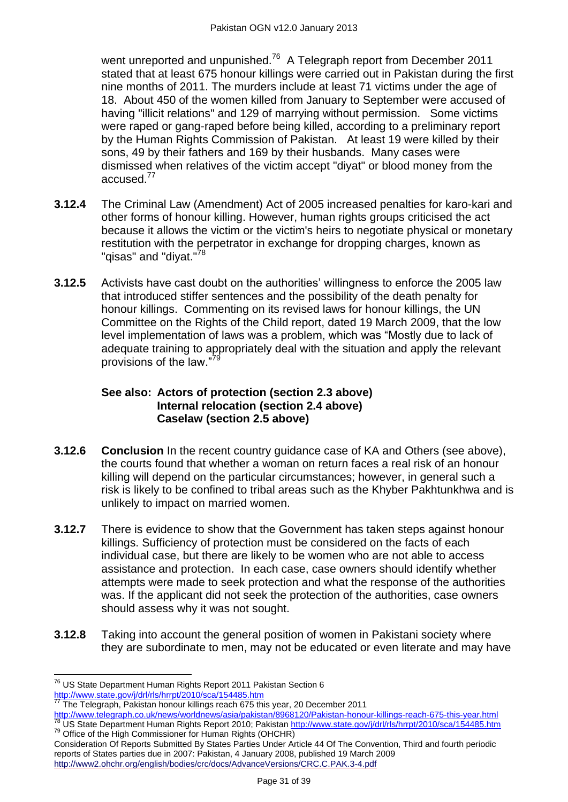went unreported and unpunished.<sup>76</sup> A Telegraph report from December 2011 stated that at least 675 honour killings were carried out in Pakistan during the first nine months of 2011. The murders include at least 71 victims under the age of 18. About 450 of the women killed from January to September were accused of having "illicit relations" and 129 of marrying without permission. Some victims were raped or gang-raped before being killed, according to a preliminary report by the Human Rights Commission of Pakistan. At least 19 were killed by their sons, 49 by their fathers and 169 by their husbands. Many cases were dismissed when relatives of the victim accept "diyat" or blood money from the accused.<sup>77</sup>

- **3.12.4** The Criminal Law (Amendment) Act of 2005 increased penalties for karo-kari and other forms of honour killing. However, human rights groups criticised the act because it allows the victim or the victim's heirs to negotiate physical or monetary restitution with the perpetrator in exchange for dropping charges, known as "qisas" and "diyat."<sup>78</sup>
- **3.12.5** Activists have cast doubt on the authorities' willingness to enforce the 2005 law that introduced stiffer sentences and the possibility of the death penalty for honour killings. Commenting on its revised laws for honour killings, the UN Committee on the Rights of the Child report, dated 19 March 2009, that the low level implementation of laws was a problem, which was "Mostly due to lack of adequate training to appropriately deal with the situation and apply the relevant provisions of the law."7

#### **See also: [Actors of protection](#page-1-1) (section 2.3 above) [Internal relocation](#page-5-0) (section 2.4 above) [Caselaw](#page-6-0) (section 2.5 above)**

- **3.12.6 Conclusion** In the recent country guidance case of KA and Others (see above), the courts found that whether a woman on return faces a real risk of an honour killing will depend on the particular circumstances; however, in general such a risk is likely to be confined to tribal areas such as the Khyber Pakhtunkhwa and is unlikely to impact on married women.
- **3.12.7** There is evidence to show that the Government has taken steps against honour killings. Sufficiency of protection must be considered on the facts of each individual case, but there are likely to be women who are not able to access assistance and protection. In each case, case owners should identify whether attempts were made to seek protection and what the response of the authorities was. If the applicant did not seek the protection of the authorities, case owners should assess why it was not sought.
- **3.12.8** Taking into account the general position of women in Pakistani society where they are subordinate to men, may not be educated or even literate and may have

 $\overline{a}$  $^{76}$  US State Department Human Rights Report 2011 Pakistan Section 6 <http://www.state.gov/j/drl/rls/hrrpt/2010/sca/154485.htm>

 $77$  The Telegraph, Pakistan honour killings reach 675 this year, 20 December 2011

<http://www.telegraph.co.uk/news/worldnews/asia/pakistan/8968120/Pakistan-honour-killings-reach-675-this-year.html> <sup>78</sup> US State Department Human Rights Report 2010; Pakistan<http://www.state.gov/j/drl/rls/hrrpt/2010/sca/154485.htm>  $79$  Office of the High Commissioner for Human Rights (OHCHR)

Consideration Of Reports Submitted By States Parties Under Article 44 Of The Convention, Third and fourth periodic reports of States parties due in 2007: Pakistan, 4 January 2008, published 19 March 2009 <http://www2.ohchr.org/english/bodies/crc/docs/AdvanceVersions/CRC.C.PAK.3-4.pdf>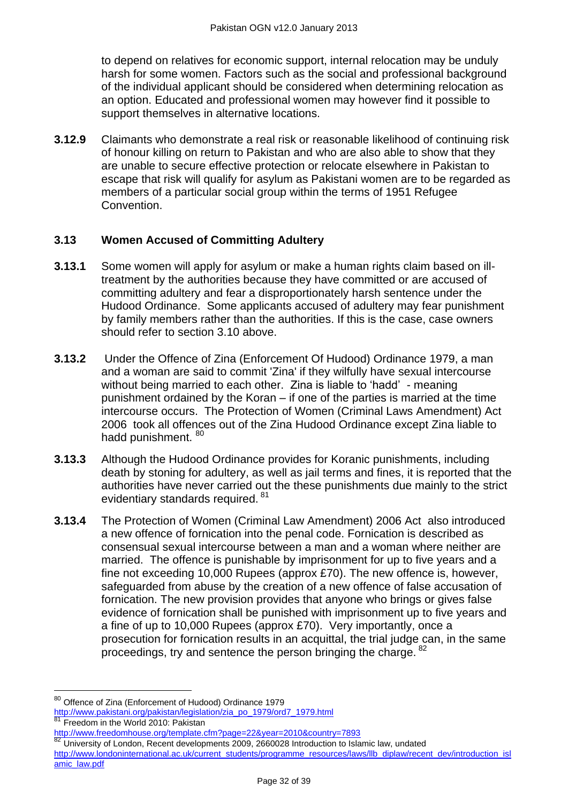to depend on relatives for economic support, internal relocation may be unduly harsh for some women. Factors such as the social and professional background of the individual applicant should be considered when determining relocation as an option. Educated and professional women may however find it possible to support themselves in alternative locations.

**3.12.9** Claimants who demonstrate a real risk or reasonable likelihood of continuing risk of honour killing on return to Pakistan and who are also able to show that they are unable to secure effective protection or relocate elsewhere in Pakistan to escape that risk will qualify for asylum as Pakistani women are to be regarded as members of a particular social group within the terms of 1951 Refugee Convention.

## **3.13 Women Accused of Committing Adultery**

- **3.13.1** Some women will apply for asylum or make a human rights claim based on illtreatment by the authorities because they have committed or are accused of committing adultery and fear a disproportionately harsh sentence under the Hudood Ordinance. Some applicants accused of adultery may fear punishment by family members rather than the authorities. If this is the case, case owners should refer to section 3.10 above.
- **3.13.2** Under the Offence of Zina (Enforcement Of Hudood) Ordinance 1979, a man and a woman are said to commit 'Zina' if they wilfully have sexual intercourse without being married to each other. Zina is liable to 'hadd' - meaning punishment ordained by the Koran – if one of the parties is married at the time intercourse occurs. The Protection of Women (Criminal Laws Amendment) Act 2006 took all offences out of the Zina Hudood Ordinance except Zina liable to hadd punishment. <sup>80</sup>
- **3.13.3** Although the Hudood Ordinance provides for Koranic punishments, including death by stoning for adultery, as well as jail terms and fines, it is reported that the authorities have never carried out the these punishments due mainly to the strict evidentiary standards required. <sup>81</sup>
- **3.13.4** The Protection of Women (Criminal Law Amendment) 2006 Act also introduced a new offence of fornication into the penal code. Fornication is described as consensual sexual intercourse between a man and a woman where neither are married. The offence is punishable by imprisonment for up to five years and a fine not exceeding 10,000 Rupees (approx £70). The new offence is, however, safeguarded from abuse by the creation of a new offence of false accusation of fornication. The new provision provides that anyone who brings or gives false evidence of fornication shall be punished with imprisonment up to five years and a fine of up to 10,000 Rupees (approx £70). Very importantly, once a prosecution for fornication results in an acquittal, the trial judge can, in the same proceedings, try and sentence the person bringing the charge. <sup>82</sup>

 $\overline{a}$ 

<sup>&</sup>lt;sup>80</sup> Offence of Zina (Enforcement of Hudood) Ordinance 1979 [http://www.pakistani.org/pakistan/legislation/zia\\_po\\_1979/ord7\\_1979.html](http://www.pakistani.org/pakistan/legislation/zia_po_1979/ord7_1979.html)

Freedom in the World 2010: Pakistan

<http://www.freedomhouse.org/template.cfm?page=22&year=2010&country=7893>

<sup>82</sup> University of London, Recent developments 2009, 2660028 Introduction to Islamic law, undated [http://www.londoninternational.ac.uk/current\\_students/programme\\_resources/laws/llb\\_diplaw/recent\\_dev/introduction\\_isl](http://www.londoninternational.ac.uk/current_students/programme_resources/laws/llb_diplaw/recent_dev/introduction_islamic_law.pdf) [amic\\_law.pdf](http://www.londoninternational.ac.uk/current_students/programme_resources/laws/llb_diplaw/recent_dev/introduction_islamic_law.pdf)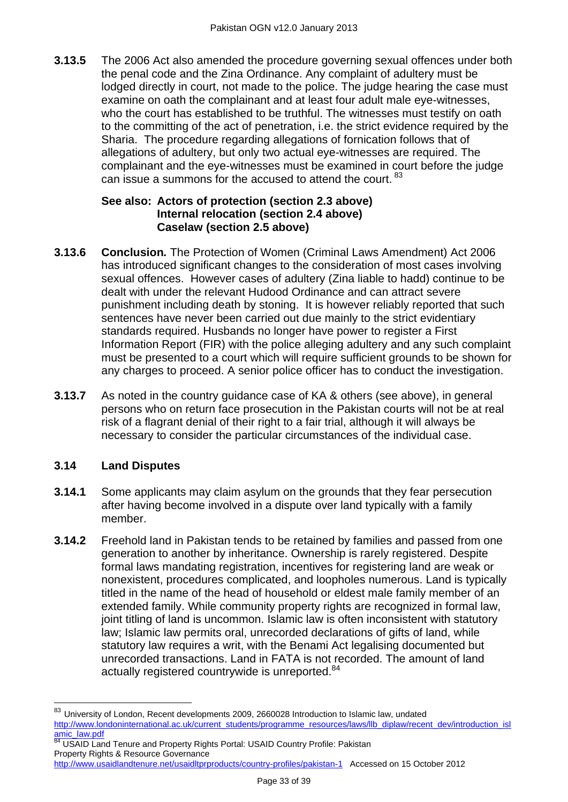**3.13.5** The 2006 Act also amended the procedure governing sexual offences under both the penal code and the Zina Ordinance. Any complaint of adultery must be lodged directly in court, not made to the police. The judge hearing the case must examine on oath the complainant and at least four adult male eve-witnesses, who the court has established to be truthful. The witnesses must testify on oath to the committing of the act of penetration, i.e. the strict evidence required by the Sharia. The procedure regarding allegations of fornication follows that of allegations of adultery, but only two actual eye-witnesses are required. The complainant and the eye-witnesses must be examined in court before the judge can issue a summons for the accused to attend the court. <sup>83</sup>

#### **See also: [Actors of protection](#page-1-1) (section 2.3 above) [Internal relocation](#page-5-0) (section 2.4 above) [Caselaw](#page-6-0) (section 2.5 above)**

- **3.13.6 Conclusion***.* The Protection of Women (Criminal Laws Amendment) Act 2006 has introduced significant changes to the consideration of most cases involving sexual offences. However cases of adultery (Zina liable to hadd) continue to be dealt with under the relevant Hudood Ordinance and can attract severe punishment including death by stoning. It is however reliably reported that such sentences have never been carried out due mainly to the strict evidentiary standards required. Husbands no longer have power to register a First Information Report (FIR) with the police alleging adultery and any such complaint must be presented to a court which will require sufficient grounds to be shown for any charges to proceed. A senior police officer has to conduct the investigation.
- **3.13.7** As noted in the country guidance case of KA & others (see above), in general persons who on return face prosecution in the Pakistan courts will not be at real risk of a flagrant denial of their right to a fair trial, although it will always be necessary to consider the particular circumstances of the individual case.

# **3.14 Land Disputes**

- **3.14.1** Some applicants may claim asylum on the grounds that they fear persecution after having become involved in a dispute over land typically with a family member.
- **3.14.2** Freehold land in Pakistan tends to be retained by families and passed from one generation to another by inheritance. Ownership is rarely registered. Despite formal laws mandating registration, incentives for registering land are weak or nonexistent, procedures complicated, and loopholes numerous. Land is typically titled in the name of the head of household or eldest male family member of an extended family. While community property rights are recognized in formal law, joint titling of land is uncommon. Islamic law is often inconsistent with statutory law; Islamic law permits oral, unrecorded declarations of gifts of land, while statutory law requires a writ, with the Benami Act legalising documented but unrecorded transactions. Land in FATA is not recorded. The amount of land actually registered countrywide is unreported.<sup>84</sup>

84 USAID Land Tenure and Property Rights Portal: USAID Country Profile: Pakistan Property Rights & Resource Governance

 $\overline{a}$ 83 University of London. Recent developments 2009, 2660028 Introduction to Islamic law, undated [http://www.londoninternational.ac.uk/current\\_students/programme\\_resources/laws/llb\\_diplaw/recent\\_dev/introduction\\_isl](http://www.londoninternational.ac.uk/current_students/programme_resources/laws/llb_diplaw/recent_dev/introduction_islamic_law.pdf) [amic\\_law.pdf](http://www.londoninternational.ac.uk/current_students/programme_resources/laws/llb_diplaw/recent_dev/introduction_islamic_law.pdf)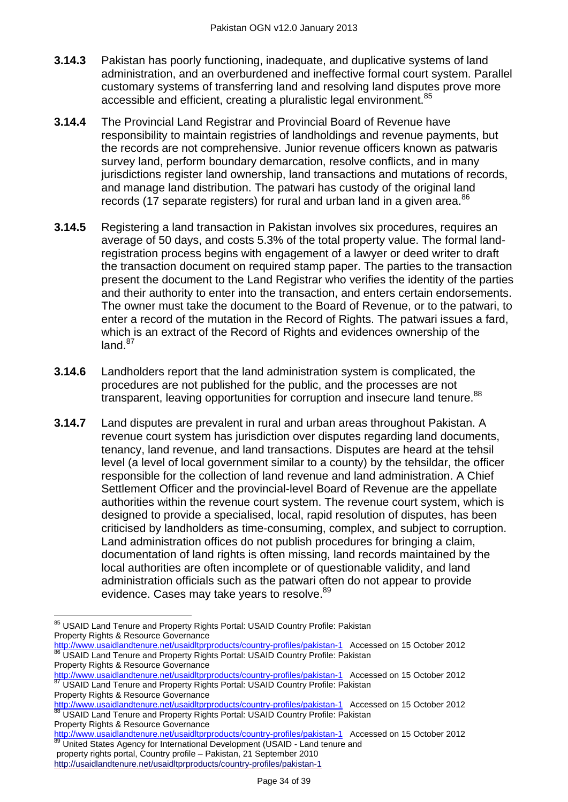- **3.14.3** Pakistan has poorly functioning, inadequate, and duplicative systems of land administration, and an overburdened and ineffective formal court system. Parallel customary systems of transferring land and resolving land disputes prove more accessible and efficient, creating a pluralistic legal environment.<sup>85</sup>
- **3.14.4** The Provincial Land Registrar and Provincial Board of Revenue have responsibility to maintain registries of landholdings and revenue payments, but the records are not comprehensive. Junior revenue officers known as patwaris survey land, perform boundary demarcation, resolve conflicts, and in many jurisdictions register land ownership, land transactions and mutations of records, and manage land distribution. The patwari has custody of the original land records (17 separate registers) for rural and urban land in a given area.<sup>86</sup>
- **3.14.5** Registering a land transaction in Pakistan involves six procedures, requires an average of 50 days, and costs 5.3% of the total property value. The formal landregistration process begins with engagement of a lawyer or deed writer to draft the transaction document on required stamp paper. The parties to the transaction present the document to the Land Registrar who verifies the identity of the parties and their authority to enter into the transaction, and enters certain endorsements. The owner must take the document to the Board of Revenue, or to the patwari, to enter a record of the mutation in the Record of Rights. The patwari issues a fard, which is an extract of the Record of Rights and evidences ownership of the  $land.<sup>87</sup>$
- **3.14.6** Landholders report that the land administration system is complicated, the procedures are not published for the public, and the processes are not transparent, leaving opportunities for corruption and insecure land tenure.<sup>88</sup>
- **3.14.7** Land disputes are prevalent in rural and urban areas throughout Pakistan. A revenue court system has jurisdiction over disputes regarding land documents, tenancy, land revenue, and land transactions. Disputes are heard at the tehsil level (a level of local government similar to a county) by the tehsildar, the officer responsible for the collection of land revenue and land administration. A Chief Settlement Officer and the provincial-level Board of Revenue are the appellate authorities within the revenue court system. The revenue court system, which is designed to provide a specialised, local, rapid resolution of disputes, has been criticised by landholders as time-consuming, complex, and subject to corruption. Land administration offices do not publish procedures for bringing a claim, documentation of land rights is often missing, land records maintained by the local authorities are often incomplete or of questionable validity, and land administration officials such as the patwari often do not appear to provide evidence. Cases may take years to resolve.<sup>89</sup>

 $\overline{a}$ <sup>85</sup> USAID Land Tenure and Property Rights Portal: USAID Country Profile: Pakistan Property Rights & Resource Governance

<http://www.usaidlandtenure.net/usaidltprproducts/country-profiles/pakistan-1>Accessed on 15 October 2012 86 USAID Land Tenure and Property Rights Portal: USAID Country Profile: Pakistan Property Rights & Resource Governance

<http://www.usaidlandtenure.net/usaidltprproducts/country-profiles/pakistan-1>Accessed on 15 October 2012 USAID Land Tenure and Property Rights Portal: USAID Country Profile: Pakistan

Property Rights & Resource Governance <http://www.usaidlandtenure.net/usaidltprproducts/country-profiles/pakistan-1>Accessed on 15 October 2012 88 USAID Land Tenure and Property Rights Portal: USAID Country Profile: Pakistan

Property Rights & Resource Governance <http://www.usaidlandtenure.net/usaidltprproducts/country-profiles/pakistan-1>Accessed on 15 October 2012 89 United States Agency for International Development (USAID - Land tenure and

property rights portal, Country profile – Pakistan, 21 September 2010 <http://usaidlandtenure.net/usaidltprproducts/country-profiles/pakistan-1>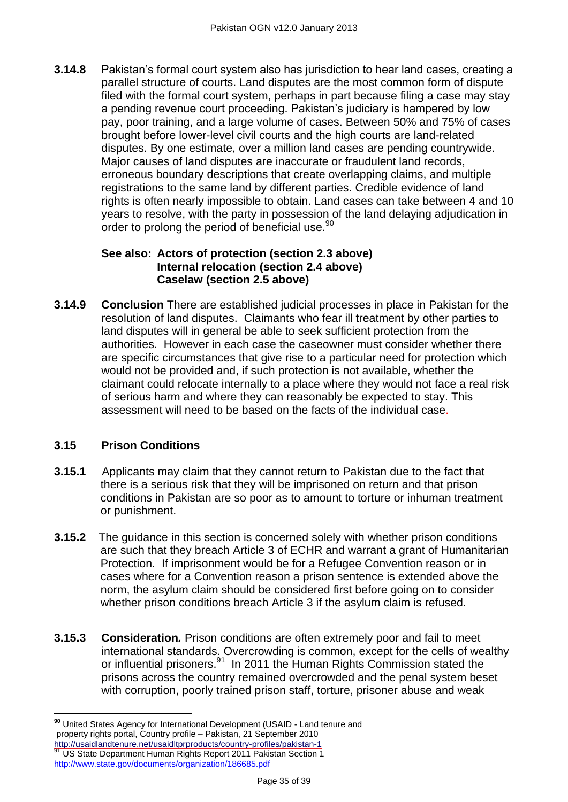**3.14.8** Pakistan's formal court system also has jurisdiction to hear land cases, creating a parallel structure of courts. Land disputes are the most common form of dispute filed with the formal court system, perhaps in part because filing a case may stay a pending revenue court proceeding. Pakistan's judiciary is hampered by low pay, poor training, and a large volume of cases. Between 50% and 75% of cases brought before lower-level civil courts and the high courts are land-related disputes. By one estimate, over a million land cases are pending countrywide. Major causes of land disputes are inaccurate or fraudulent land records, erroneous boundary descriptions that create overlapping claims, and multiple registrations to the same land by different parties. Credible evidence of land rights is often nearly impossible to obtain. Land cases can take between 4 and 10 years to resolve, with the party in possession of the land delaying adjudication in order to prolong the period of beneficial use.<sup>90</sup>

#### **See also: [Actors of protection](#page-1-1) (section 2.3 above) [Internal relocation](#page-5-0) (section 2.4 above) [Caselaw](#page-6-0) (section 2.5 above)**

**3.14.9 Conclusion** There are established judicial processes in place in Pakistan for the resolution of land disputes. Claimants who fear ill treatment by other parties to land disputes will in general be able to seek sufficient protection from the authorities. However in each case the caseowner must consider whether there are specific circumstances that give rise to a particular need for protection which would not be provided and, if such protection is not available, whether the claimant could relocate internally to a place where they would not face a real risk of serious harm and where they can reasonably be expected to stay. This assessment will need to be based on the facts of the individual case.

# **3.15 Prison Conditions**

- **3.15.1** Applicants may claim that they cannot return to Pakistan due to the fact that there is a serious risk that they will be imprisoned on return and that prison conditions in Pakistan are so poor as to amount to torture or inhuman treatment or punishment.
- **3.15.2** The guidance in this section is concerned solely with whether prison conditions are such that they breach Article 3 of ECHR and warrant a grant of Humanitarian Protection. If imprisonment would be for a Refugee Convention reason or in cases where for a Convention reason a prison sentence is extended above the norm, the asylum claim should be considered first before going on to consider whether prison conditions breach Article 3 if the asylum claim is refused.
- **3.15.3 Consideration***.* Prison conditions are often extremely poor and fail to meet international standards. Overcrowding is common, except for the cells of wealthy or influential prisoners.<sup>91</sup> In 2011 the Human Rights Commission stated the prisons across the country remained overcrowded and the penal system beset with corruption, poorly trained prison staff, torture, prisoner abuse and weak

 $\overline{a}$ **<sup>90</sup>** United States Agency for International Development (USAID - Land tenure and property rights portal, Country profile – Pakistan, 21 September 2010 http://usaidlandtenure.net/usaidltprproducts/country-profiles/pakistan-1<br>http://usaidlandtenure.net/usaidltprproducts/country-profiles/pakistan-1

US State Department Human Rights Report 2011 Pakistan Section 1 <http://www.state.gov/documents/organization/186685.pdf>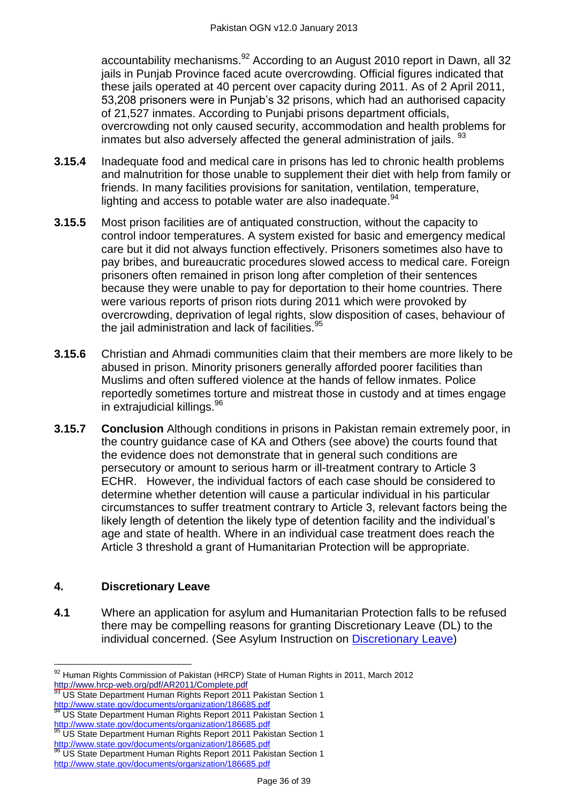accountability mechanisms.<sup>92</sup> According to an August 2010 report in Dawn, all 32 jails in Punjab Province faced acute overcrowding. Official figures indicated that these jails operated at 40 percent over capacity during 2011. As of 2 April 2011, 53,208 prisoners were in Punjab's 32 prisons, which had an authorised capacity of 21,527 inmates. According to Punjabi prisons department officials, overcrowding not only caused security, accommodation and health problems for inmates but also adversely affected the general administration of jails. <sup>93</sup>

- **3.15.4** Inadequate food and medical care in prisons has led to chronic health problems and malnutrition for those unable to supplement their diet with help from family or friends. In many facilities provisions for sanitation, ventilation, temperature, lighting and access to potable water are also inadequate.  $94$
- **3.15.5** Most prison facilities are of antiquated construction, without the capacity to control indoor temperatures. A system existed for basic and emergency medical care but it did not always function effectively. Prisoners sometimes also have to pay bribes, and bureaucratic procedures slowed access to medical care. Foreign prisoners often remained in prison long after completion of their sentences because they were unable to pay for deportation to their home countries. There were various reports of prison riots during 2011 which were provoked by overcrowding, deprivation of legal rights, slow disposition of cases, behaviour of the jail administration and lack of facilities.<sup>95</sup>
- **3.15.6** Christian and Ahmadi communities claim that their members are more likely to be abused in prison. Minority prisoners generally afforded poorer facilities than Muslims and often suffered violence at the hands of fellow inmates. Police reportedly sometimes torture and mistreat those in custody and at times engage in extrajudicial killings.<sup>96</sup>
- **3.15.7 Conclusion** Although conditions in prisons in Pakistan remain extremely poor, in the country guidance case of KA and Others (see above) the courts found that the evidence does not demonstrate that in general such conditions are persecutory or amount to serious harm or ill-treatment contrary to Article 3 ECHR. However, the individual factors of each case should be considered to determine whether detention will cause a particular individual in his particular circumstances to suffer treatment contrary to Article 3, relevant factors being the likely length of detention the likely type of detention facility and the individual's age and state of health. Where in an individual case treatment does reach the Article 3 threshold a grant of Humanitarian Protection will be appropriate.

# <span id="page-35-0"></span>**4. Discretionary Leave**

 $\overline{a}$ 

**4.1** Where an application for asylum and Humanitarian Protection falls to be refused there may be compelling reasons for granting Discretionary Leave (DL) to the individual concerned. (See Asylum Instruction on [Discretionary Leave\)](http://www.ukba.homeoffice.gov.uk/sitecontent/documents/policyandlaw/asylumpolicyinstructions/apis/discretionaryleave.pdf?view=Binary)

 $92$  Human Rights Commission of Pakistan (HRCP) State of Human Rights in 2011, March 2012 <http://www.hrcp-web.org/pdf/AR2011/Complete.pdf>

<sup>93</sup> US State Department Human Rights Report 2011 Pakistan Section 1 <http://www.state.gov/documents/organization/186685.pdf>

<sup>&</sup>lt;sup>94</sup> US State Department Human Rights Report 2011 Pakistan Section 1 <http://www.state.gov/documents/organization/186685.pdf>

<sup>95</sup> US State Department Human Rights Report 2011 Pakistan Section 1 <http://www.state.gov/documents/organization/186685.pdf>

US State Department Human Rights Report 2011 Pakistan Section 1 <http://www.state.gov/documents/organization/186685.pdf>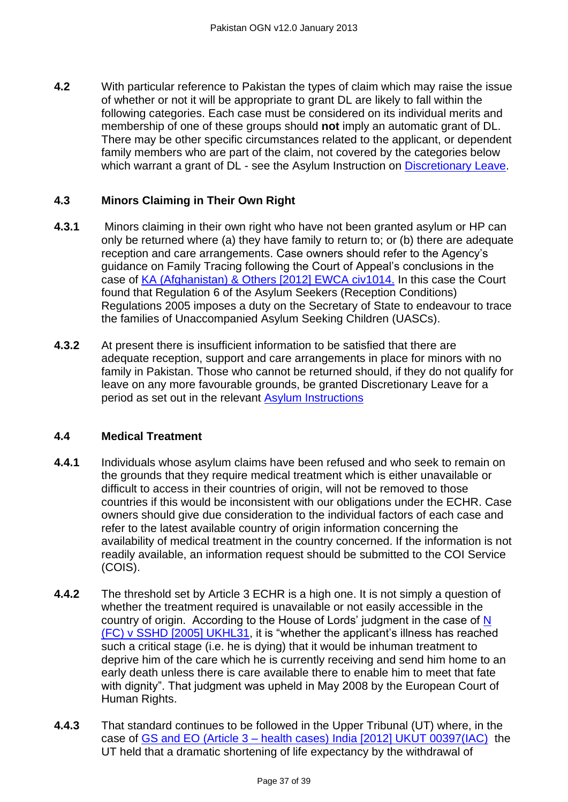**4.2** With particular reference to Pakistan the types of claim which may raise the issue of whether or not it will be appropriate to grant DL are likely to fall within the following categories. Each case must be considered on its individual merits and membership of one of these groups should **not** imply an automatic grant of DL. There may be other specific circumstances related to the applicant, or dependent family members who are part of the claim, not covered by the categories below which warrant a grant of DL - see the Asylum Instruction on [Discretionary Leave.](http://www.ukba.homeoffice.gov.uk/sitecontent/documents/policyandlaw/asylumpolicyinstructions/apis/discretionaryleave.pdf?view=Binary)

# <span id="page-36-0"></span>**4.3 Minors Claiming in Their Own Right**

- **4.3.1** Minors claiming in their own right who have not been granted asylum or HP can only be returned where (a) they have family to return to; or (b) there are adequate reception and care arrangements. Case owners should refer to the Agency's guidance on Family Tracing following the Court of Appeal's conclusions in the case of [KA \(Afghanistan\) & Others \[2012\] EWCA civ1014.](http://www.bailii.org/ew/cases/EWCA/Civ/2012/1014.html) In this case the Court found that Regulation 6 of the Asylum Seekers (Reception Conditions) Regulations 2005 imposes a duty on the Secretary of State to endeavour to trace the families of Unaccompanied Asylum Seeking Children (UASCs).
- **4.3.2** At present there is insufficient information to be satisfied that there are adequate reception, support and care arrangements in place for minors with no family in Pakistan. Those who cannot be returned should, if they do not qualify for leave on any more favourable grounds, be granted Discretionary Leave for a period as set out in the relevant [Asylum Instructions](http://www.ukba.homeoffice.gov.uk/sitecontent/documents/policyandlaw/asylumpolicyinstructions/apis/discretionaryleave.pdf?view=Binary)

#### <span id="page-36-1"></span>**4.4 Medical Treatment**

- **4.4.1** Individuals whose asylum claims have been refused and who seek to remain on the grounds that they require medical treatment which is either unavailable or difficult to access in their countries of origin, will not be removed to those countries if this would be inconsistent with our obligations under the ECHR. Case owners should give due consideration to the individual factors of each case and refer to the latest available country of origin information concerning the availability of medical treatment in the country concerned. If the information is not readily available, an information request should be submitted to the COI Service (COIS).
- **4.4.2** The threshold set by Article 3 ECHR is a high one. It is not simply a question of whether the treatment required is unavailable or not easily accessible in the country of origin. According to the House of Lords' judgment in the case of  $N$ [\(FC\) v SSHD \[2005\] UKHL31,](http://www.bailii.org/uk/cases/UKHL/2005/31.html) it is "whether the applicant's illness has reached such a critical stage (i.e. he is dying) that it would be inhuman treatment to deprive him of the care which he is currently receiving and send him home to an early death unless there is care available there to enable him to meet that fate with dignity". That judgment was upheld in May 2008 by the European Court of Human Rights.
- **4.4.3** That standard continues to be followed in the Upper Tribunal (UT) where, in the case of GS and EO (Article 3 – [health cases\) India \[2012\] UKUT 00397\(IAC\)](http://www.bailii.org/uk/cases/UKUT/IAC/2012/00397_ukut_iac_2012_gs_eo_india_ghana.html) the UT held that a dramatic shortening of life expectancy by the withdrawal of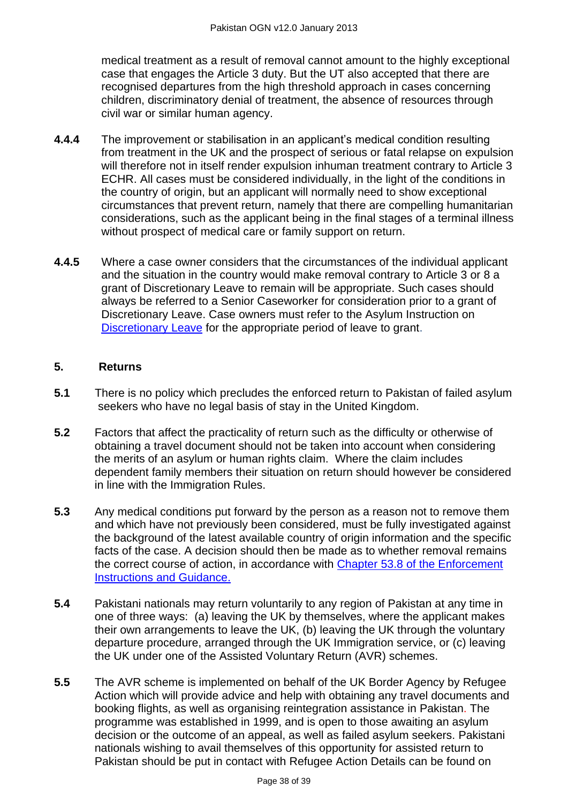medical treatment as a result of removal cannot amount to the highly exceptional case that engages the Article 3 duty. But the UT also accepted that there are recognised departures from the high threshold approach in cases concerning children, discriminatory denial of treatment, the absence of resources through civil war or similar human agency.

- **4.4.4** The improvement or stabilisation in an applicant's medical condition resulting from treatment in the UK and the prospect of serious or fatal relapse on expulsion will therefore not in itself render expulsion inhuman treatment contrary to Article 3 ECHR. All cases must be considered individually, in the light of the conditions in the country of origin, but an applicant will normally need to show exceptional circumstances that prevent return, namely that there are compelling humanitarian considerations, such as the applicant being in the final stages of a terminal illness without prospect of medical care or family support on return.
- **4.4.5** Where a case owner considers that the circumstances of the individual applicant and the situation in the country would make removal contrary to Article 3 or 8 a grant of Discretionary Leave to remain will be appropriate. Such cases should always be referred to a Senior Caseworker for consideration prior to a grant of Discretionary Leave. Case owners must refer to the Asylum Instruction on [Discretionary Leave](http://www.ukba.homeoffice.gov.uk/sitecontent/documents/policyandlaw/asylumpolicyinstructions/apis/discretionaryleave.pdf?view=Binary) for the appropriate period of leave to grant.

## <span id="page-37-0"></span>**5. Returns**

- **5.1** There is no policy which precludes the enforced return to Pakistan of failed asylum seekers who have no legal basis of stay in the United Kingdom.
- **5.2** Factors that affect the practicality of return such as the difficulty or otherwise of obtaining a travel document should not be taken into account when considering the merits of an asylum or human rights claim. Where the claim includes dependent family members their situation on return should however be considered in line with the Immigration Rules.
- **5.3** Any medical conditions put forward by the person as a reason not to remove them and which have not previously been considered, must be fully investigated against the background of the latest available country of origin information and the specific facts of the case. A decision should then be made as to whether removal remains the correct course of action, in accordance with [Chapter 53.8 of the Enforcement](http://www.ukba.homeoffice.gov.uk/sitecontent/documents/policyandlaw/enforcement/detentionandremovals/chapter53?view=Binary)  [Instructions and Guidance.](http://www.ukba.homeoffice.gov.uk/sitecontent/documents/policyandlaw/enforcement/detentionandremovals/chapter53?view=Binary)
- **5.4** Pakistani nationals may return voluntarily to any region of Pakistan at any time in one of three ways: (a) leaving the UK by themselves, where the applicant makes their own arrangements to leave the UK, (b) leaving the UK through the voluntary departure procedure, arranged through the UK Immigration service, or (c) leaving the UK under one of the Assisted Voluntary Return (AVR) schemes.
- **5.5** The AVR scheme is implemented on behalf of the UK Border Agency by Refugee Action which will provide advice and help with obtaining any travel documents and booking flights, as well as organising reintegration assistance in Pakistan. The programme was established in 1999, and is open to those awaiting an asylum decision or the outcome of an appeal, as well as failed asylum seekers. Pakistani nationals wishing to avail themselves of this opportunity for assisted return to Pakistan should be put in contact with Refugee Action Details can be found on